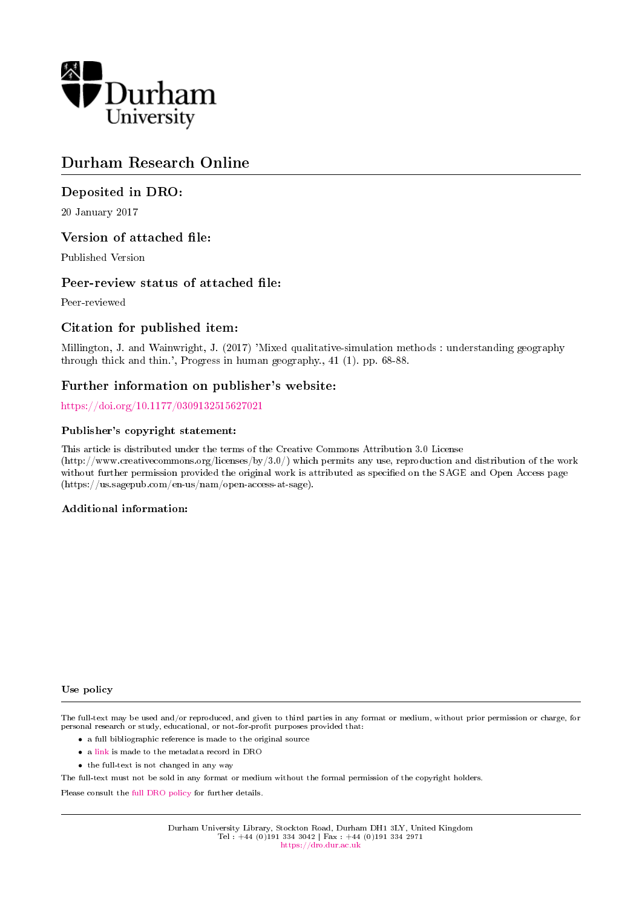

# Durham Research Online

# Deposited in DRO:

20 January 2017

# Version of attached file:

Published Version

# Peer-review status of attached file:

Peer-reviewed

# Citation for published item:

Millington, J. and Wainwright, J. (2017) 'Mixed qualitative-simulation methods : understanding geography through thick and thin.', Progress in human geography., 41 (1). pp. 68-88.

# Further information on publisher's website:

<https://doi.org/10.1177/0309132515627021>

#### Publisher's copyright statement:

This article is distributed under the terms of the Creative Commons Attribution 3.0 License (http://www.creativecommons.org/licenses/by/3.0/) which permits any use, reproduction and distribution of the work without further permission provided the original work is attributed as specified on the SAGE and Open Access page (https://us.sagepub.com/en-us/nam/open-access-at-sage).

### Additional information:

#### Use policy

The full-text may be used and/or reproduced, and given to third parties in any format or medium, without prior permission or charge, for personal research or study, educational, or not-for-profit purposes provided that:

- a full bibliographic reference is made to the original source
- a [link](http://dro.dur.ac.uk/17532/) is made to the metadata record in DRO
- the full-text is not changed in any way

The full-text must not be sold in any format or medium without the formal permission of the copyright holders.

Please consult the [full DRO policy](https://dro.dur.ac.uk/policies/usepolicy.pdf) for further details.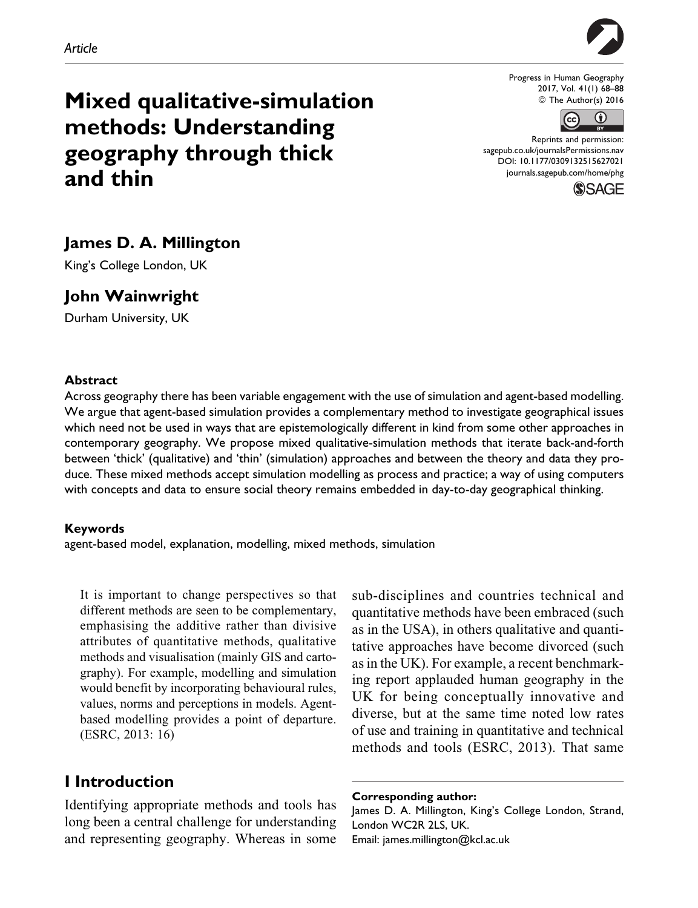

Progress in Human Geography 2017, Vol. 41(1) 68–88 © The Author(s) 2016



Reprints and permission: [sagepub.co.uk/journalsPermissions.nav](http://www.sagepub.co.uk/journalsPermissions.nav) [DOI: 10.1177/0309132515627021](https://doi.org/10.1177/0309132515627021) [journals.sagepub.com/home/phg](http://journals.sagepub.com/home/phg)



# Mixed qualitative-simulation methods: Understanding geography through thick and thin

# James D. A. Millington

King's College London, UK

# John Wainwright

Durham University, UK

#### Abstract

Across geography there has been variable engagement with the use of simulation and agent-based modelling. We argue that agent-based simulation provides a complementary method to investigate geographical issues which need not be used in ways that are epistemologically different in kind from some other approaches in contemporary geography. We propose mixed qualitative-simulation methods that iterate back-and-forth between 'thick' (qualitative) and 'thin' (simulation) approaches and between the theory and data they produce. These mixed methods accept simulation modelling as process and practice; a way of using computers with concepts and data to ensure social theory remains embedded in day-to-day geographical thinking.

#### Keywords

agent-based model, explanation, modelling, mixed methods, simulation

It is important to change perspectives so that different methods are seen to be complementary, emphasising the additive rather than divisive attributes of quantitative methods, qualitative methods and visualisation (mainly GIS and cartography). For example, modelling and simulation would benefit by incorporating behavioural rules, values, norms and perceptions in models. Agentbased modelling provides a point of departure. (ESRC, 2013: 16)

# I Introduction

Identifying appropriate methods and tools has long been a central challenge for understanding and representing geography. Whereas in some

sub-disciplines and countries technical and quantitative methods have been embraced (such as in the USA), in others qualitative and quantitative approaches have become divorced (such as in the UK). For example, a recent benchmarking report applauded human geography in the UK for being conceptually innovative and diverse, but at the same time noted low rates of use and training in quantitative and technical methods and tools (ESRC, 2013). That same

#### Corresponding author:

James D. A. Millington, King's College London, Strand, London WC2R 2LS, UK. Email: james.millington@kcl.ac.uk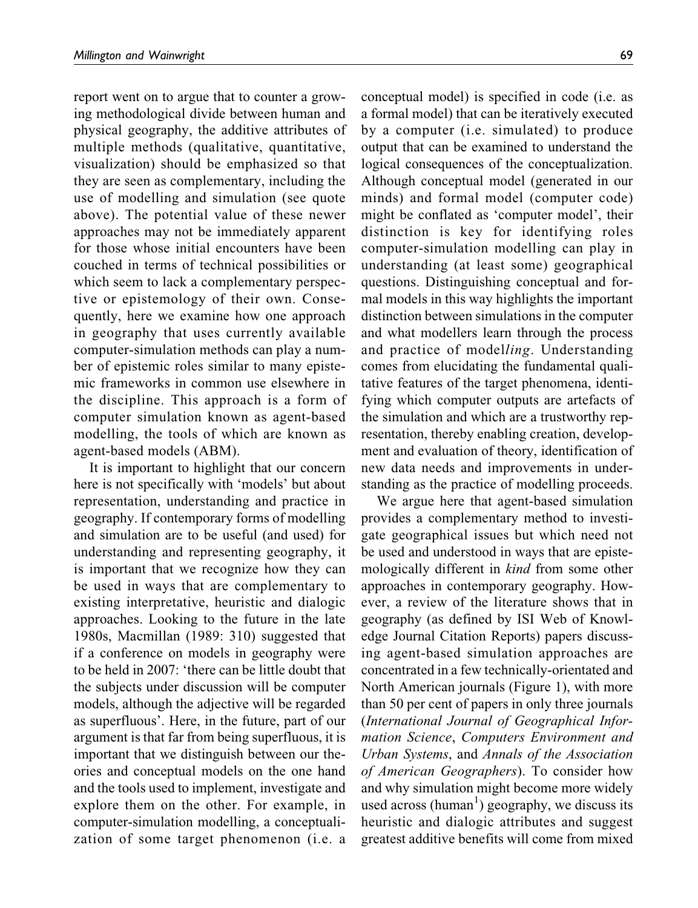report went on to argue that to counter a growing methodological divide between human and physical geography, the additive attributes of multiple methods (qualitative, quantitative, visualization) should be emphasized so that they are seen as complementary, including the use of modelling and simulation (see quote above). The potential value of these newer approaches may not be immediately apparent for those whose initial encounters have been couched in terms of technical possibilities or which seem to lack a complementary perspective or epistemology of their own. Consequently, here we examine how one approach in geography that uses currently available computer-simulation methods can play a number of epistemic roles similar to many epistemic frameworks in common use elsewhere in the discipline. This approach is a form of computer simulation known as agent-based modelling, the tools of which are known as agent-based models (ABM).

It is important to highlight that our concern here is not specifically with 'models' but about representation, understanding and practice in geography. If contemporary forms of modelling and simulation are to be useful (and used) for understanding and representing geography, it is important that we recognize how they can be used in ways that are complementary to existing interpretative, heuristic and dialogic approaches. Looking to the future in the late 1980s, Macmillan (1989: 310) suggested that if a conference on models in geography were to be held in 2007: 'there can be little doubt that the subjects under discussion will be computer models, although the adjective will be regarded as superfluous'. Here, in the future, part of our argument is that far from being superfluous, it is important that we distinguish between our theories and conceptual models on the one hand and the tools used to implement, investigate and explore them on the other. For example, in computer-simulation modelling, a conceptualization of some target phenomenon (i.e. a conceptual model) is specified in code (i.e. as a formal model) that can be iteratively executed by a computer (i.e. simulated) to produce output that can be examined to understand the logical consequences of the conceptualization. Although conceptual model (generated in our minds) and formal model (computer code) might be conflated as 'computer model', their distinction is key for identifying roles computer-simulation modelling can play in understanding (at least some) geographical questions. Distinguishing conceptual and formal models in this way highlights the important distinction between simulations in the computer and what modellers learn through the process and practice of modelling. Understanding comes from elucidating the fundamental qualitative features of the target phenomena, identifying which computer outputs are artefacts of the simulation and which are a trustworthy representation, thereby enabling creation, development and evaluation of theory, identification of new data needs and improvements in understanding as the practice of modelling proceeds.

We argue here that agent-based simulation provides a complementary method to investigate geographical issues but which need not be used and understood in ways that are epistemologically different in kind from some other approaches in contemporary geography. However, a review of the literature shows that in geography (as defined by ISI Web of Knowledge Journal Citation Reports) papers discussing agent-based simulation approaches are concentrated in a few technically-orientated and North American journals (Figure 1), with more than 50 per cent of papers in only three journals (International Journal of Geographical Information Science, Computers Environment and Urban Systems, and Annals of the Association of American Geographers). To consider how and why simulation might become more widely used across (human<sup>1</sup>) geography, we discuss its heuristic and dialogic attributes and suggest greatest additive benefits will come from mixed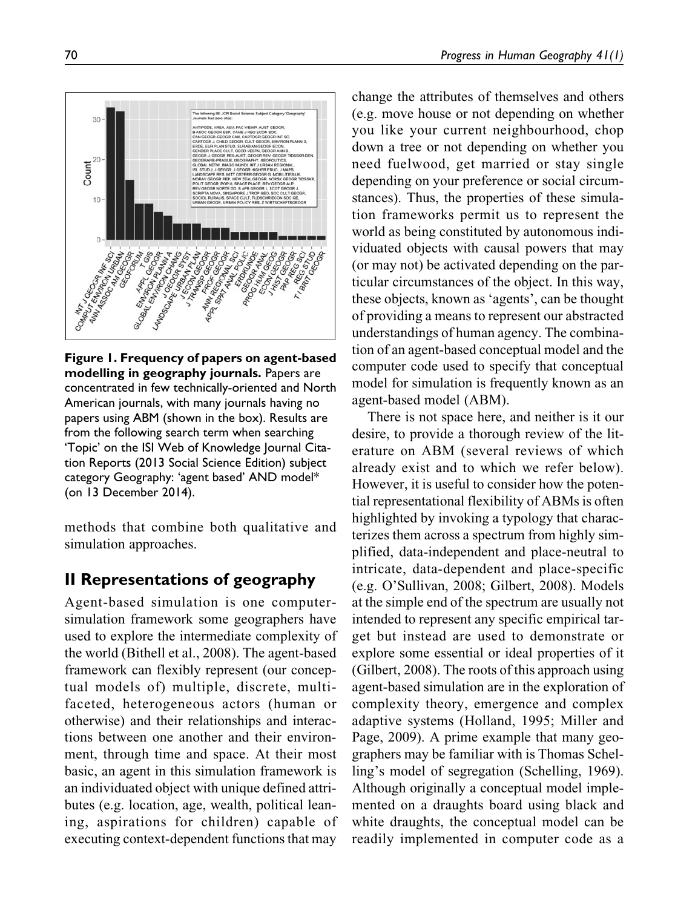

Figure 1. Frequency of papers on agent-based modelling in geography journals. Papers are concentrated in few technically-oriented and North American journals, with many journals having no papers using ABM (shown in the box). Results are from the following search term when searching 'Topic' on the ISI Web of Knowledge Journal Citation Reports (2013 Social Science Edition) subject category Geography: 'agent based' AND model\* (on 13 December 2014).

methods that combine both qualitative and simulation approaches.

# II Representations of geography

Agent-based simulation is one computersimulation framework some geographers have used to explore the intermediate complexity of the world (Bithell et al., 2008). The agent-based framework can flexibly represent (our conceptual models of) multiple, discrete, multifaceted, heterogeneous actors (human or otherwise) and their relationships and interactions between one another and their environment, through time and space. At their most basic, an agent in this simulation framework is an individuated object with unique defined attributes (e.g. location, age, wealth, political leaning, aspirations for children) capable of executing context-dependent functions that may

change the attributes of themselves and others (e.g. move house or not depending on whether you like your current neighbourhood, chop down a tree or not depending on whether you need fuelwood, get married or stay single depending on your preference or social circumstances). Thus, the properties of these simulation frameworks permit us to represent the world as being constituted by autonomous individuated objects with causal powers that may (or may not) be activated depending on the particular circumstances of the object. In this way, these objects, known as 'agents', can be thought of providing a means to represent our abstracted understandings of human agency. The combination of an agent-based conceptual model and the computer code used to specify that conceptual model for simulation is frequently known as an agent-based model (ABM).

There is not space here, and neither is it our desire, to provide a thorough review of the literature on ABM (several reviews of which already exist and to which we refer below). However, it is useful to consider how the potential representational flexibility of ABMs is often highlighted by invoking a typology that characterizes them across a spectrum from highly simplified, data-independent and place-neutral to intricate, data-dependent and place-specific (e.g. O'Sullivan, 2008; Gilbert, 2008). Models at the simple end of the spectrum are usually not intended to represent any specific empirical target but instead are used to demonstrate or explore some essential or ideal properties of it (Gilbert, 2008). The roots of this approach using agent-based simulation are in the exploration of complexity theory, emergence and complex adaptive systems (Holland, 1995; Miller and Page, 2009). A prime example that many geographers may be familiar with is Thomas Schelling's model of segregation (Schelling, 1969). Although originally a conceptual model implemented on a draughts board using black and white draughts, the conceptual model can be readily implemented in computer code as a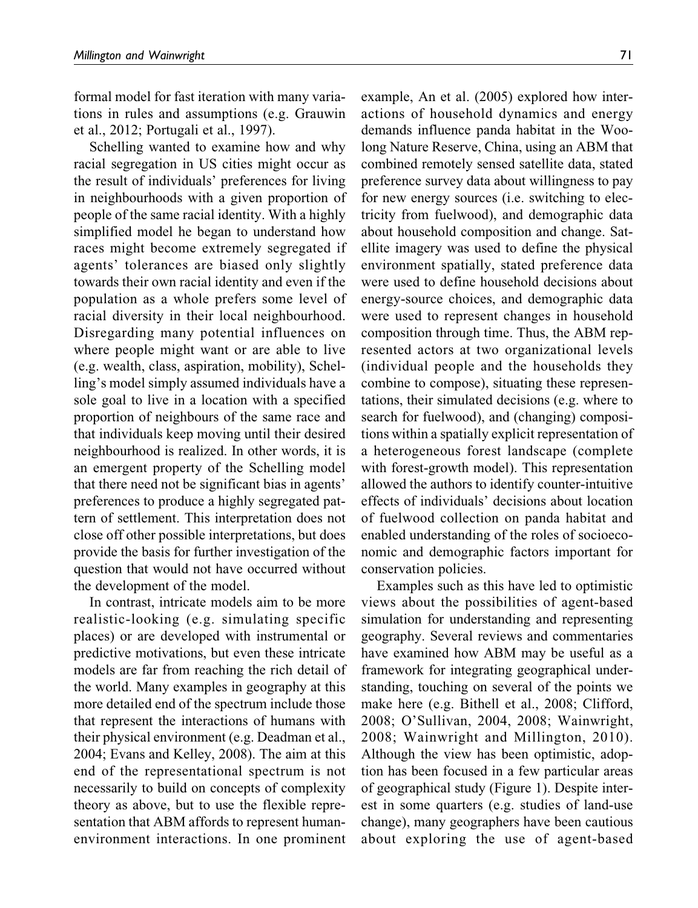formal model for fast iteration with many variations in rules and assumptions (e.g. Grauwin et al., 2012; Portugali et al., 1997).

Schelling wanted to examine how and why racial segregation in US cities might occur as the result of individuals' preferences for living in neighbourhoods with a given proportion of people of the same racial identity. With a highly simplified model he began to understand how races might become extremely segregated if agents' tolerances are biased only slightly towards their own racial identity and even if the population as a whole prefers some level of racial diversity in their local neighbourhood. Disregarding many potential influences on where people might want or are able to live (e.g. wealth, class, aspiration, mobility), Schelling's model simply assumed individuals have a sole goal to live in a location with a specified proportion of neighbours of the same race and that individuals keep moving until their desired neighbourhood is realized. In other words, it is an emergent property of the Schelling model that there need not be significant bias in agents' preferences to produce a highly segregated pattern of settlement. This interpretation does not close off other possible interpretations, but does provide the basis for further investigation of the question that would not have occurred without the development of the model.

In contrast, intricate models aim to be more realistic-looking (e.g. simulating specific places) or are developed with instrumental or predictive motivations, but even these intricate models are far from reaching the rich detail of the world. Many examples in geography at this more detailed end of the spectrum include those that represent the interactions of humans with their physical environment (e.g. Deadman et al., 2004; Evans and Kelley, 2008). The aim at this end of the representational spectrum is not necessarily to build on concepts of complexity theory as above, but to use the flexible representation that ABM affords to represent humanenvironment interactions. In one prominent

example, An et al. (2005) explored how interactions of household dynamics and energy demands influence panda habitat in the Woolong Nature Reserve, China, using an ABM that combined remotely sensed satellite data, stated preference survey data about willingness to pay for new energy sources (i.e. switching to electricity from fuelwood), and demographic data about household composition and change. Satellite imagery was used to define the physical environment spatially, stated preference data were used to define household decisions about energy-source choices, and demographic data were used to represent changes in household composition through time. Thus, the ABM represented actors at two organizational levels (individual people and the households they combine to compose), situating these representations, their simulated decisions (e.g. where to search for fuelwood), and (changing) compositions within a spatially explicit representation of a heterogeneous forest landscape (complete with forest-growth model). This representation allowed the authors to identify counter-intuitive effects of individuals' decisions about location of fuelwood collection on panda habitat and enabled understanding of the roles of socioeconomic and demographic factors important for conservation policies.

Examples such as this have led to optimistic views about the possibilities of agent-based simulation for understanding and representing geography. Several reviews and commentaries have examined how ABM may be useful as a framework for integrating geographical understanding, touching on several of the points we make here (e.g. Bithell et al., 2008; Clifford, 2008; O'Sullivan, 2004, 2008; Wainwright, 2008; Wainwright and Millington, 2010). Although the view has been optimistic, adoption has been focused in a few particular areas of geographical study (Figure 1). Despite interest in some quarters (e.g. studies of land-use change), many geographers have been cautious about exploring the use of agent-based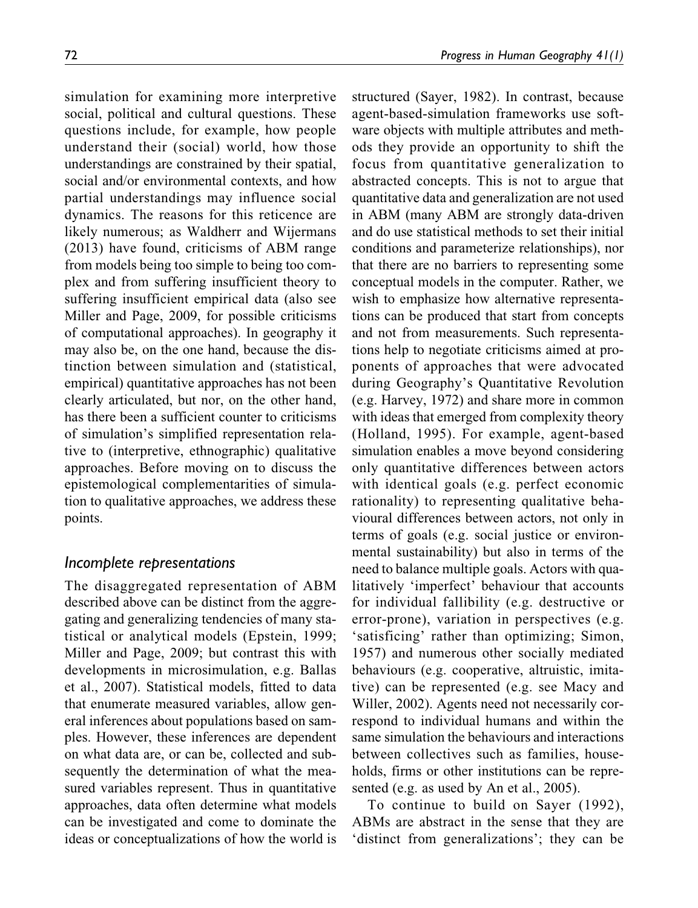simulation for examining more interpretive social, political and cultural questions. These questions include, for example, how people understand their (social) world, how those understandings are constrained by their spatial, social and/or environmental contexts, and how partial understandings may influence social dynamics. The reasons for this reticence are likely numerous; as Waldherr and Wijermans (2013) have found, criticisms of ABM range from models being too simple to being too complex and from suffering insufficient theory to suffering insufficient empirical data (also see Miller and Page, 2009, for possible criticisms of computational approaches). In geography it may also be, on the one hand, because the distinction between simulation and (statistical, empirical) quantitative approaches has not been clearly articulated, but nor, on the other hand, has there been a sufficient counter to criticisms of simulation's simplified representation relative to (interpretive, ethnographic) qualitative approaches. Before moving on to discuss the epistemological complementarities of simulation to qualitative approaches, we address these points.

#### Incomplete representations

The disaggregated representation of ABM described above can be distinct from the aggregating and generalizing tendencies of many statistical or analytical models (Epstein, 1999; Miller and Page, 2009; but contrast this with developments in microsimulation, e.g. Ballas et al., 2007). Statistical models, fitted to data that enumerate measured variables, allow general inferences about populations based on samples. However, these inferences are dependent on what data are, or can be, collected and subsequently the determination of what the measured variables represent. Thus in quantitative approaches, data often determine what models can be investigated and come to dominate the ideas or conceptualizations of how the world is structured (Sayer, 1982). In contrast, because agent-based-simulation frameworks use software objects with multiple attributes and methods they provide an opportunity to shift the focus from quantitative generalization to abstracted concepts. This is not to argue that quantitative data and generalization are not used in ABM (many ABM are strongly data-driven and do use statistical methods to set their initial conditions and parameterize relationships), nor that there are no barriers to representing some conceptual models in the computer. Rather, we wish to emphasize how alternative representations can be produced that start from concepts and not from measurements. Such representations help to negotiate criticisms aimed at proponents of approaches that were advocated during Geography's Quantitative Revolution (e.g. Harvey, 1972) and share more in common with ideas that emerged from complexity theory (Holland, 1995). For example, agent-based simulation enables a move beyond considering only quantitative differences between actors with identical goals (e.g. perfect economic rationality) to representing qualitative behavioural differences between actors, not only in terms of goals (e.g. social justice or environmental sustainability) but also in terms of the need to balance multiple goals. Actors with qualitatively 'imperfect' behaviour that accounts for individual fallibility (e.g. destructive or error-prone), variation in perspectives (e.g. 'satisficing' rather than optimizing; Simon, 1957) and numerous other socially mediated behaviours (e.g. cooperative, altruistic, imitative) can be represented (e.g. see Macy and Willer, 2002). Agents need not necessarily correspond to individual humans and within the same simulation the behaviours and interactions between collectives such as families, households, firms or other institutions can be represented (e.g. as used by An et al., 2005).

To continue to build on Sayer (1992), ABMs are abstract in the sense that they are 'distinct from generalizations'; they can be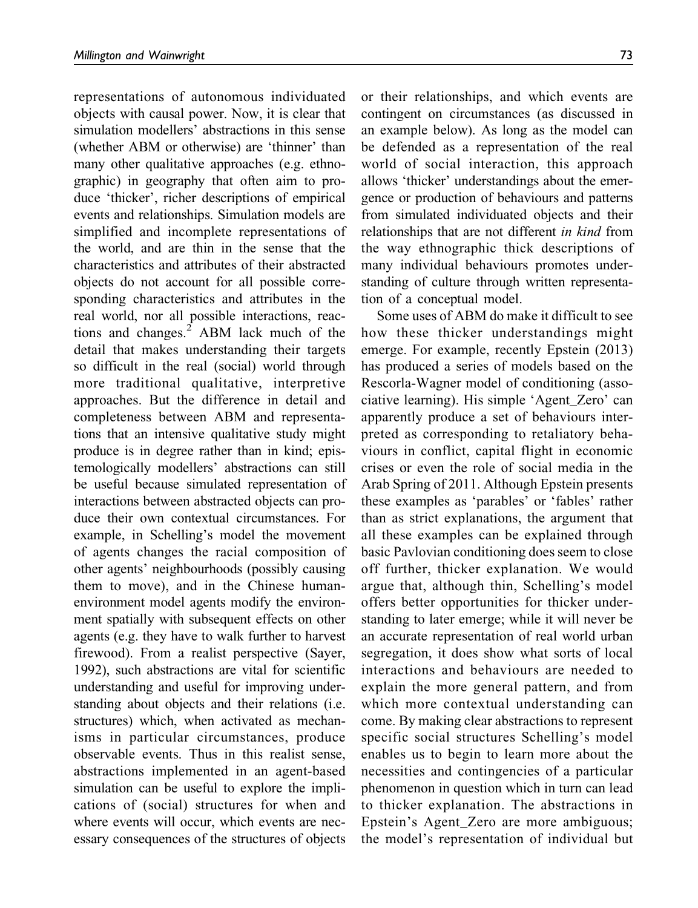representations of autonomous individuated objects with causal power. Now, it is clear that simulation modellers' abstractions in this sense (whether ABM or otherwise) are 'thinner' than many other qualitative approaches (e.g. ethnographic) in geography that often aim to produce 'thicker', richer descriptions of empirical events and relationships. Simulation models are simplified and incomplete representations of the world, and are thin in the sense that the characteristics and attributes of their abstracted objects do not account for all possible corresponding characteristics and attributes in the real world, nor all possible interactions, reactions and changes. $<sup>2</sup>$  ABM lack much of the</sup> detail that makes understanding their targets so difficult in the real (social) world through more traditional qualitative, interpretive approaches. But the difference in detail and completeness between ABM and representations that an intensive qualitative study might produce is in degree rather than in kind; epistemologically modellers' abstractions can still be useful because simulated representation of interactions between abstracted objects can produce their own contextual circumstances. For example, in Schelling's model the movement of agents changes the racial composition of other agents' neighbourhoods (possibly causing them to move), and in the Chinese humanenvironment model agents modify the environment spatially with subsequent effects on other agents (e.g. they have to walk further to harvest firewood). From a realist perspective (Sayer, 1992), such abstractions are vital for scientific understanding and useful for improving understanding about objects and their relations (i.e. structures) which, when activated as mechanisms in particular circumstances, produce observable events. Thus in this realist sense, abstractions implemented in an agent-based simulation can be useful to explore the implications of (social) structures for when and where events will occur, which events are necessary consequences of the structures of objects

or their relationships, and which events are contingent on circumstances (as discussed in an example below). As long as the model can be defended as a representation of the real world of social interaction, this approach allows 'thicker' understandings about the emergence or production of behaviours and patterns from simulated individuated objects and their relationships that are not different in kind from the way ethnographic thick descriptions of many individual behaviours promotes understanding of culture through written representation of a conceptual model.

Some uses of ABM do make it difficult to see how these thicker understandings might emerge. For example, recently Epstein (2013) has produced a series of models based on the Rescorla-Wagner model of conditioning (associative learning). His simple 'Agent\_Zero' can apparently produce a set of behaviours interpreted as corresponding to retaliatory behaviours in conflict, capital flight in economic crises or even the role of social media in the Arab Spring of 2011. Although Epstein presents these examples as 'parables' or 'fables' rather than as strict explanations, the argument that all these examples can be explained through basic Pavlovian conditioning does seem to close off further, thicker explanation. We would argue that, although thin, Schelling's model offers better opportunities for thicker understanding to later emerge; while it will never be an accurate representation of real world urban segregation, it does show what sorts of local interactions and behaviours are needed to explain the more general pattern, and from which more contextual understanding can come. By making clear abstractions to represent specific social structures Schelling's model enables us to begin to learn more about the necessities and contingencies of a particular phenomenon in question which in turn can lead to thicker explanation. The abstractions in Epstein's Agent\_Zero are more ambiguous; the model's representation of individual but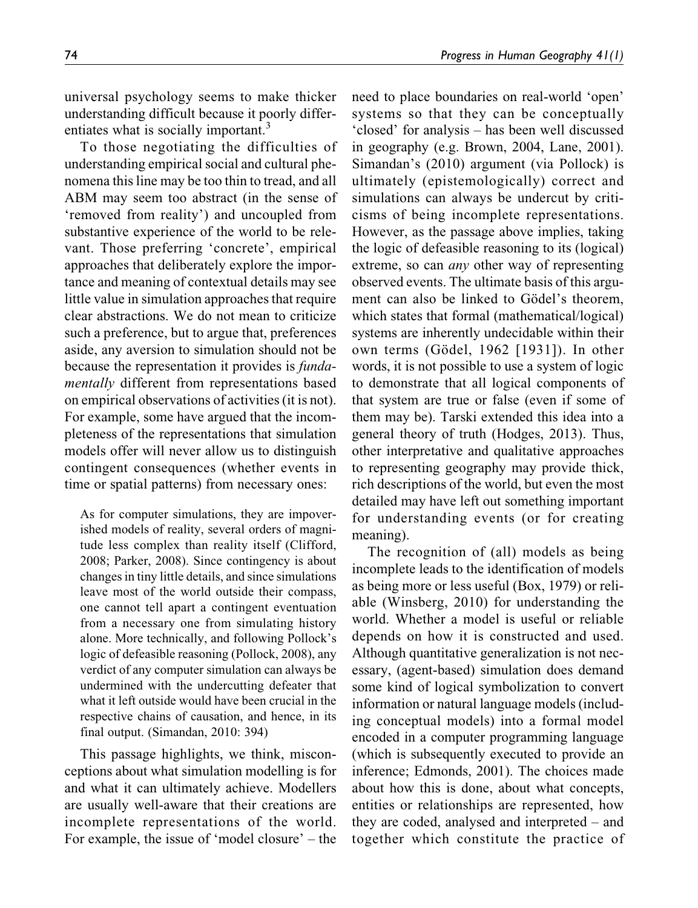universal psychology seems to make thicker understanding difficult because it poorly differentiates what is socially important.<sup>3</sup>

To those negotiating the difficulties of understanding empirical social and cultural phenomena this line may be too thin to tread, and all ABM may seem too abstract (in the sense of 'removed from reality') and uncoupled from substantive experience of the world to be relevant. Those preferring 'concrete', empirical approaches that deliberately explore the importance and meaning of contextual details may see little value in simulation approaches that require clear abstractions. We do not mean to criticize such a preference, but to argue that, preferences aside, any aversion to simulation should not be because the representation it provides is fundamentally different from representations based on empirical observations of activities (it is not). For example, some have argued that the incompleteness of the representations that simulation models offer will never allow us to distinguish contingent consequences (whether events in time or spatial patterns) from necessary ones:

As for computer simulations, they are impoverished models of reality, several orders of magnitude less complex than reality itself (Clifford, 2008; Parker, 2008). Since contingency is about changes in tiny little details, and since simulations leave most of the world outside their compass, one cannot tell apart a contingent eventuation from a necessary one from simulating history alone. More technically, and following Pollock's logic of defeasible reasoning (Pollock, 2008), any verdict of any computer simulation can always be undermined with the undercutting defeater that what it left outside would have been crucial in the respective chains of causation, and hence, in its final output. (Simandan, 2010: 394)

This passage highlights, we think, misconceptions about what simulation modelling is for and what it can ultimately achieve. Modellers are usually well-aware that their creations are incomplete representations of the world. For example, the issue of 'model closure' – the

need to place boundaries on real-world 'open' systems so that they can be conceptually 'closed' for analysis – has been well discussed in geography (e.g. Brown, 2004, Lane, 2001). Simandan's (2010) argument (via Pollock) is ultimately (epistemologically) correct and simulations can always be undercut by criticisms of being incomplete representations. However, as the passage above implies, taking the logic of defeasible reasoning to its (logical) extreme, so can any other way of representing observed events. The ultimate basis of this argument can also be linked to Gödel's theorem, which states that formal (mathematical/logical) systems are inherently undecidable within their own terms (Gödel, 1962 [1931]). In other words, it is not possible to use a system of logic to demonstrate that all logical components of that system are true or false (even if some of them may be). Tarski extended this idea into a general theory of truth (Hodges, 2013). Thus, other interpretative and qualitative approaches to representing geography may provide thick, rich descriptions of the world, but even the most detailed may have left out something important for understanding events (or for creating meaning).

The recognition of (all) models as being incomplete leads to the identification of models as being more or less useful (Box, 1979) or reliable (Winsberg, 2010) for understanding the world. Whether a model is useful or reliable depends on how it is constructed and used. Although quantitative generalization is not necessary, (agent-based) simulation does demand some kind of logical symbolization to convert information or natural language models (including conceptual models) into a formal model encoded in a computer programming language (which is subsequently executed to provide an inference; Edmonds, 2001). The choices made about how this is done, about what concepts, entities or relationships are represented, how they are coded, analysed and interpreted – and together which constitute the practice of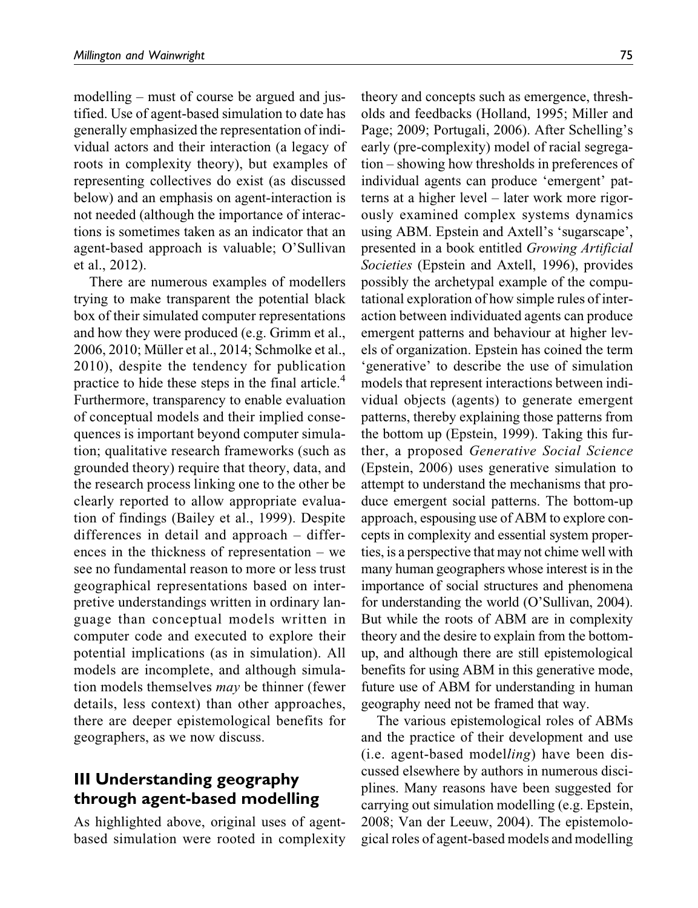modelling – must of course be argued and justified. Use of agent-based simulation to date has generally emphasized the representation of individual actors and their interaction (a legacy of roots in complexity theory), but examples of representing collectives do exist (as discussed below) and an emphasis on agent-interaction is not needed (although the importance of interactions is sometimes taken as an indicator that an agent-based approach is valuable; O'Sullivan et al., 2012).

There are numerous examples of modellers trying to make transparent the potential black box of their simulated computer representations and how they were produced (e.g. Grimm et al., 2006, 2010; Müller et al., 2014; Schmolke et al., 2010), despite the tendency for publication practice to hide these steps in the final article.<sup>4</sup> Furthermore, transparency to enable evaluation of conceptual models and their implied consequences is important beyond computer simulation; qualitative research frameworks (such as grounded theory) require that theory, data, and the research process linking one to the other be clearly reported to allow appropriate evaluation of findings (Bailey et al., 1999). Despite differences in detail and approach – differences in the thickness of representation – we see no fundamental reason to more or less trust geographical representations based on interpretive understandings written in ordinary language than conceptual models written in computer code and executed to explore their potential implications (as in simulation). All models are incomplete, and although simulation models themselves may be thinner (fewer details, less context) than other approaches, there are deeper epistemological benefits for geographers, as we now discuss.

# III Understanding geography through agent-based modelling

As highlighted above, original uses of agentbased simulation were rooted in complexity theory and concepts such as emergence, thresholds and feedbacks (Holland, 1995; Miller and Page; 2009; Portugali, 2006). After Schelling's early (pre-complexity) model of racial segregation – showing how thresholds in preferences of individual agents can produce 'emergent' patterns at a higher level – later work more rigorously examined complex systems dynamics using ABM. Epstein and Axtell's 'sugarscape', presented in a book entitled Growing Artificial Societies (Epstein and Axtell, 1996), provides possibly the archetypal example of the computational exploration of how simple rules of interaction between individuated agents can produce emergent patterns and behaviour at higher levels of organization. Epstein has coined the term 'generative' to describe the use of simulation models that represent interactions between individual objects (agents) to generate emergent patterns, thereby explaining those patterns from the bottom up (Epstein, 1999). Taking this further, a proposed Generative Social Science (Epstein, 2006) uses generative simulation to attempt to understand the mechanisms that produce emergent social patterns. The bottom-up approach, espousing use of ABM to explore concepts in complexity and essential system properties, is a perspective that may not chime well with many human geographers whose interest is in the importance of social structures and phenomena for understanding the world (O'Sullivan, 2004). But while the roots of ABM are in complexity theory and the desire to explain from the bottomup, and although there are still epistemological benefits for using ABM in this generative mode, future use of ABM for understanding in human geography need not be framed that way.

The various epistemological roles of ABMs and the practice of their development and use (i.e. agent-based modelling) have been discussed elsewhere by authors in numerous disciplines. Many reasons have been suggested for carrying out simulation modelling (e.g. Epstein, 2008; Van der Leeuw, 2004). The epistemological roles of agent-based models and modelling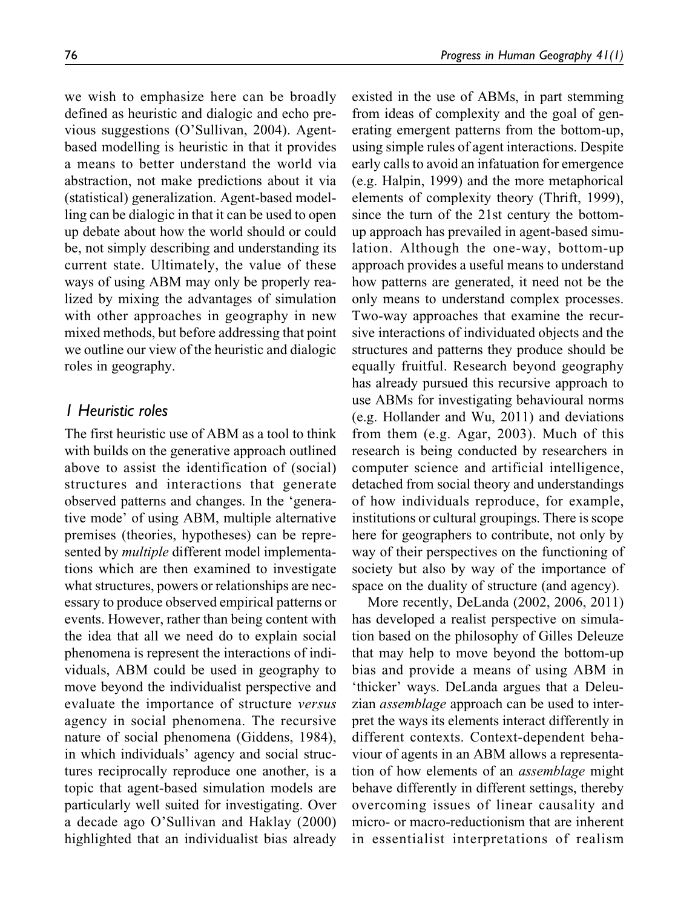we wish to emphasize here can be broadly defined as heuristic and dialogic and echo previous suggestions (O'Sullivan, 2004). Agentbased modelling is heuristic in that it provides a means to better understand the world via abstraction, not make predictions about it via (statistical) generalization. Agent-based modelling can be dialogic in that it can be used to open up debate about how the world should or could be, not simply describing and understanding its current state. Ultimately, the value of these ways of using ABM may only be properly realized by mixing the advantages of simulation with other approaches in geography in new mixed methods, but before addressing that point we outline our view of the heuristic and dialogic roles in geography.

### 1 Heuristic roles

The first heuristic use of ABM as a tool to think with builds on the generative approach outlined above to assist the identification of (social) structures and interactions that generate observed patterns and changes. In the 'generative mode' of using ABM, multiple alternative premises (theories, hypotheses) can be represented by *multiple* different model implementations which are then examined to investigate what structures, powers or relationships are necessary to produce observed empirical patterns or events. However, rather than being content with the idea that all we need do to explain social phenomena is represent the interactions of individuals, ABM could be used in geography to move beyond the individualist perspective and evaluate the importance of structure versus agency in social phenomena. The recursive nature of social phenomena (Giddens, 1984), in which individuals' agency and social structures reciprocally reproduce one another, is a topic that agent-based simulation models are particularly well suited for investigating. Over a decade ago O'Sullivan and Haklay (2000) highlighted that an individualist bias already existed in the use of ABMs, in part stemming from ideas of complexity and the goal of generating emergent patterns from the bottom-up, using simple rules of agent interactions. Despite early calls to avoid an infatuation for emergence (e.g. Halpin, 1999) and the more metaphorical elements of complexity theory (Thrift, 1999), since the turn of the 21st century the bottomup approach has prevailed in agent-based simulation. Although the one-way, bottom-up approach provides a useful means to understand how patterns are generated, it need not be the only means to understand complex processes. Two-way approaches that examine the recursive interactions of individuated objects and the structures and patterns they produce should be equally fruitful. Research beyond geography has already pursued this recursive approach to use ABMs for investigating behavioural norms (e.g. Hollander and Wu, 2011) and deviations from them (e.g. Agar, 2003). Much of this research is being conducted by researchers in computer science and artificial intelligence, detached from social theory and understandings of how individuals reproduce, for example, institutions or cultural groupings. There is scope here for geographers to contribute, not only by way of their perspectives on the functioning of society but also by way of the importance of space on the duality of structure (and agency).

More recently, DeLanda (2002, 2006, 2011) has developed a realist perspective on simulation based on the philosophy of Gilles Deleuze that may help to move beyond the bottom-up bias and provide a means of using ABM in 'thicker' ways. DeLanda argues that a Deleuzian assemblage approach can be used to interpret the ways its elements interact differently in different contexts. Context-dependent behaviour of agents in an ABM allows a representation of how elements of an assemblage might behave differently in different settings, thereby overcoming issues of linear causality and micro- or macro-reductionism that are inherent in essentialist interpretations of realism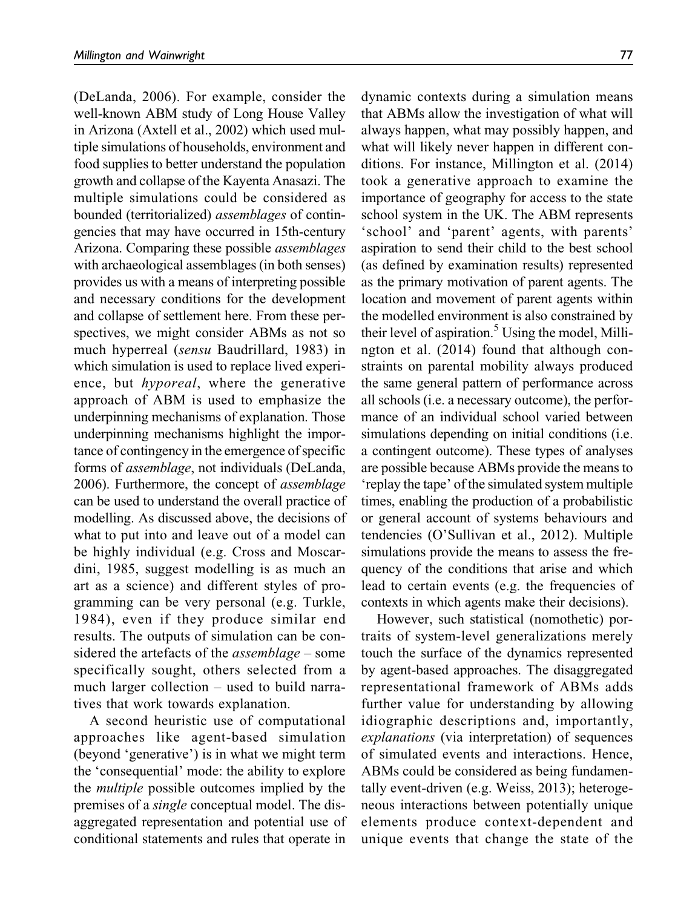(DeLanda, 2006). For example, consider the well-known ABM study of Long House Valley in Arizona (Axtell et al., 2002) which used multiple simulations of households, environment and food supplies to better understand the population growth and collapse of the Kayenta Anasazi. The multiple simulations could be considered as bounded (territorialized) assemblages of contingencies that may have occurred in 15th-century Arizona. Comparing these possible assemblages with archaeological assemblages (in both senses) provides us with a means of interpreting possible and necessary conditions for the development and collapse of settlement here. From these perspectives, we might consider ABMs as not so much hyperreal (sensu Baudrillard, 1983) in which simulation is used to replace lived experience, but hyporeal, where the generative approach of ABM is used to emphasize the underpinning mechanisms of explanation. Those underpinning mechanisms highlight the importance of contingency in the emergence of specific forms of assemblage, not individuals (DeLanda, 2006). Furthermore, the concept of assemblage can be used to understand the overall practice of modelling. As discussed above, the decisions of what to put into and leave out of a model can be highly individual (e.g. Cross and Moscardini, 1985, suggest modelling is as much an art as a science) and different styles of programming can be very personal (e.g. Turkle, 1984), even if they produce similar end results. The outputs of simulation can be considered the artefacts of the assemblage – some specifically sought, others selected from a much larger collection – used to build narratives that work towards explanation.

A second heuristic use of computational approaches like agent-based simulation (beyond 'generative') is in what we might term the 'consequential' mode: the ability to explore the multiple possible outcomes implied by the premises of a single conceptual model. The disaggregated representation and potential use of conditional statements and rules that operate in

dynamic contexts during a simulation means that ABMs allow the investigation of what will always happen, what may possibly happen, and what will likely never happen in different conditions. For instance, Millington et al. (2014) took a generative approach to examine the importance of geography for access to the state school system in the UK. The ABM represents 'school' and 'parent' agents, with parents' aspiration to send their child to the best school (as defined by examination results) represented as the primary motivation of parent agents. The location and movement of parent agents within the modelled environment is also constrained by their level of aspiration.<sup>5</sup> Using the model, Millington et al. (2014) found that although constraints on parental mobility always produced the same general pattern of performance across all schools (i.e. a necessary outcome), the performance of an individual school varied between simulations depending on initial conditions (i.e. a contingent outcome). These types of analyses are possible because ABMs provide the means to 'replay the tape' of the simulated system multiple times, enabling the production of a probabilistic or general account of systems behaviours and tendencies (O'Sullivan et al., 2012). Multiple simulations provide the means to assess the frequency of the conditions that arise and which lead to certain events (e.g. the frequencies of contexts in which agents make their decisions).

However, such statistical (nomothetic) portraits of system-level generalizations merely touch the surface of the dynamics represented by agent-based approaches. The disaggregated representational framework of ABMs adds further value for understanding by allowing idiographic descriptions and, importantly, explanations (via interpretation) of sequences of simulated events and interactions. Hence, ABMs could be considered as being fundamentally event-driven (e.g. Weiss, 2013); heterogeneous interactions between potentially unique elements produce context-dependent and unique events that change the state of the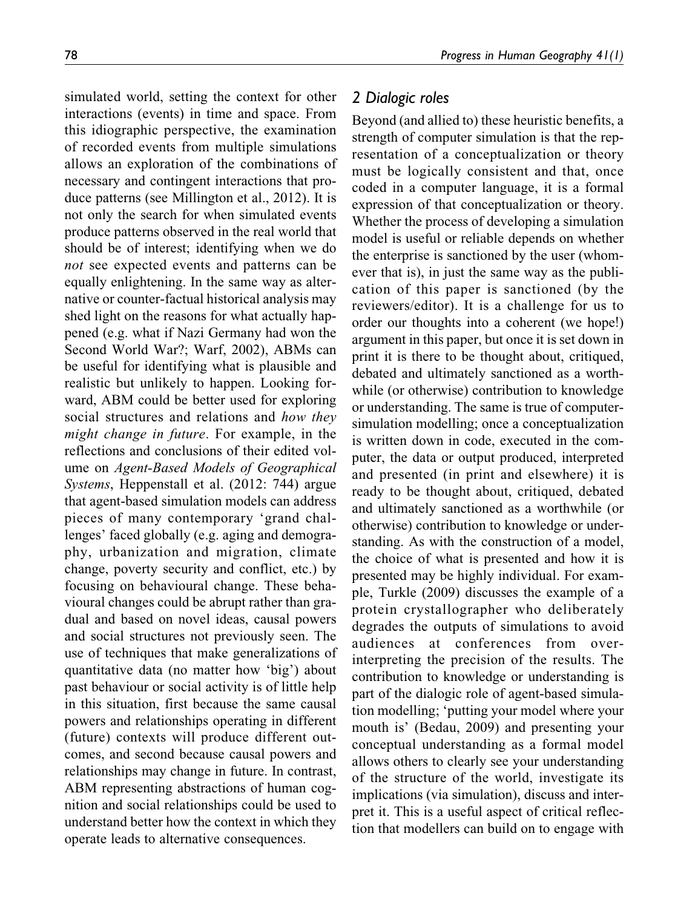simulated world, setting the context for other interactions (events) in time and space. From this idiographic perspective, the examination of recorded events from multiple simulations allows an exploration of the combinations of necessary and contingent interactions that produce patterns (see Millington et al., 2012). It is not only the search for when simulated events produce patterns observed in the real world that should be of interest; identifying when we do not see expected events and patterns can be equally enlightening. In the same way as alternative or counter-factual historical analysis may shed light on the reasons for what actually happened (e.g. what if Nazi Germany had won the Second World War?; Warf, 2002), ABMs can be useful for identifying what is plausible and realistic but unlikely to happen. Looking forward, ABM could be better used for exploring social structures and relations and how they might change in future. For example, in the reflections and conclusions of their edited volume on Agent-Based Models of Geographical Systems, Heppenstall et al. (2012: 744) argue that agent-based simulation models can address pieces of many contemporary 'grand challenges' faced globally (e.g. aging and demography, urbanization and migration, climate change, poverty security and conflict, etc.) by focusing on behavioural change. These behavioural changes could be abrupt rather than gradual and based on novel ideas, causal powers and social structures not previously seen. The use of techniques that make generalizations of quantitative data (no matter how 'big') about past behaviour or social activity is of little help in this situation, first because the same causal powers and relationships operating in different (future) contexts will produce different outcomes, and second because causal powers and relationships may change in future. In contrast, ABM representing abstractions of human cognition and social relationships could be used to understand better how the context in which they operate leads to alternative consequences.

#### 2 Dialogic roles

Beyond (and allied to) these heuristic benefits, a strength of computer simulation is that the representation of a conceptualization or theory must be logically consistent and that, once coded in a computer language, it is a formal expression of that conceptualization or theory. Whether the process of developing a simulation model is useful or reliable depends on whether the enterprise is sanctioned by the user (whomever that is), in just the same way as the publication of this paper is sanctioned (by the reviewers/editor). It is a challenge for us to order our thoughts into a coherent (we hope!) argument in this paper, but once it is set down in print it is there to be thought about, critiqued, debated and ultimately sanctioned as a worthwhile (or otherwise) contribution to knowledge or understanding. The same is true of computersimulation modelling; once a conceptualization is written down in code, executed in the computer, the data or output produced, interpreted and presented (in print and elsewhere) it is ready to be thought about, critiqued, debated and ultimately sanctioned as a worthwhile (or otherwise) contribution to knowledge or understanding. As with the construction of a model, the choice of what is presented and how it is presented may be highly individual. For example, Turkle (2009) discusses the example of a protein crystallographer who deliberately degrades the outputs of simulations to avoid audiences at conferences from overinterpreting the precision of the results. The contribution to knowledge or understanding is part of the dialogic role of agent-based simulation modelling; 'putting your model where your mouth is' (Bedau, 2009) and presenting your conceptual understanding as a formal model allows others to clearly see your understanding of the structure of the world, investigate its implications (via simulation), discuss and interpret it. This is a useful aspect of critical reflection that modellers can build on to engage with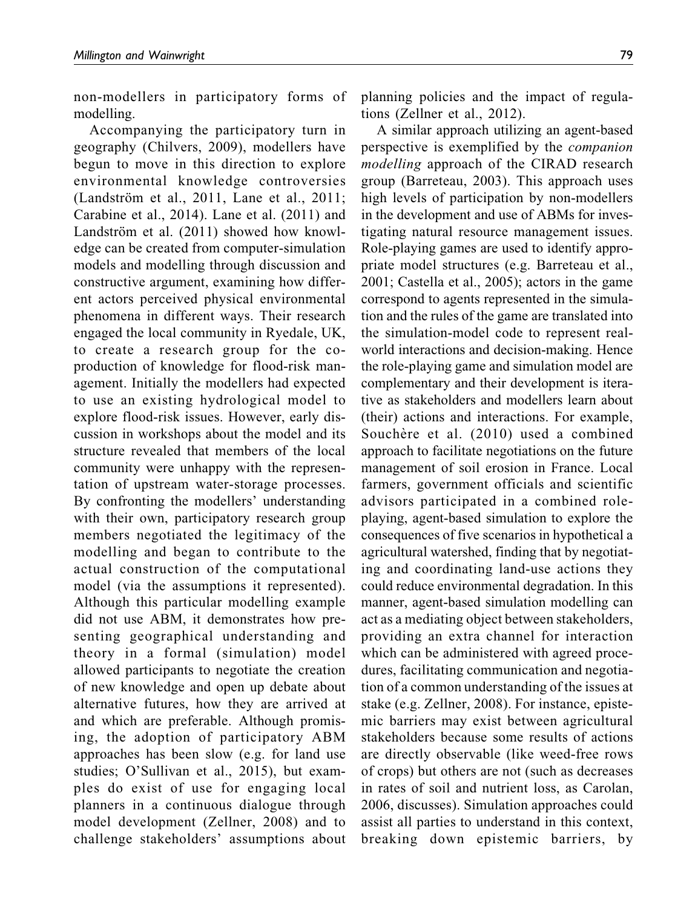non-modellers in participatory forms of modelling.

Accompanying the participatory turn in geography (Chilvers, 2009), modellers have begun to move in this direction to explore environmental knowledge controversies (Landström et al., 2011, Lane et al., 2011; Carabine et al., 2014). Lane et al. (2011) and Landström et al. (2011) showed how knowledge can be created from computer-simulation models and modelling through discussion and constructive argument, examining how different actors perceived physical environmental phenomena in different ways. Their research engaged the local community in Ryedale, UK, to create a research group for the coproduction of knowledge for flood-risk management. Initially the modellers had expected to use an existing hydrological model to explore flood-risk issues. However, early discussion in workshops about the model and its structure revealed that members of the local community were unhappy with the representation of upstream water-storage processes. By confronting the modellers' understanding with their own, participatory research group members negotiated the legitimacy of the modelling and began to contribute to the actual construction of the computational model (via the assumptions it represented). Although this particular modelling example did not use ABM, it demonstrates how presenting geographical understanding and theory in a formal (simulation) model allowed participants to negotiate the creation of new knowledge and open up debate about alternative futures, how they are arrived at and which are preferable. Although promising, the adoption of participatory ABM approaches has been slow (e.g. for land use studies; O'Sullivan et al., 2015), but examples do exist of use for engaging local planners in a continuous dialogue through model development (Zellner, 2008) and to challenge stakeholders' assumptions about planning policies and the impact of regulations (Zellner et al., 2012).

A similar approach utilizing an agent-based perspective is exemplified by the companion modelling approach of the CIRAD research group (Barreteau, 2003). This approach uses high levels of participation by non-modellers in the development and use of ABMs for investigating natural resource management issues. Role-playing games are used to identify appropriate model structures (e.g. Barreteau et al., 2001; Castella et al., 2005); actors in the game correspond to agents represented in the simulation and the rules of the game are translated into the simulation-model code to represent realworld interactions and decision-making. Hence the role-playing game and simulation model are complementary and their development is iterative as stakeholders and modellers learn about (their) actions and interactions. For example, Souchère et al. (2010) used a combined approach to facilitate negotiations on the future management of soil erosion in France. Local farmers, government officials and scientific advisors participated in a combined roleplaying, agent-based simulation to explore the consequences of five scenarios in hypothetical a agricultural watershed, finding that by negotiating and coordinating land-use actions they could reduce environmental degradation. In this manner, agent-based simulation modelling can act as a mediating object between stakeholders, providing an extra channel for interaction which can be administered with agreed procedures, facilitating communication and negotiation of a common understanding of the issues at stake (e.g. Zellner, 2008). For instance, epistemic barriers may exist between agricultural stakeholders because some results of actions are directly observable (like weed-free rows of crops) but others are not (such as decreases in rates of soil and nutrient loss, as Carolan, 2006, discusses). Simulation approaches could assist all parties to understand in this context, breaking down epistemic barriers, by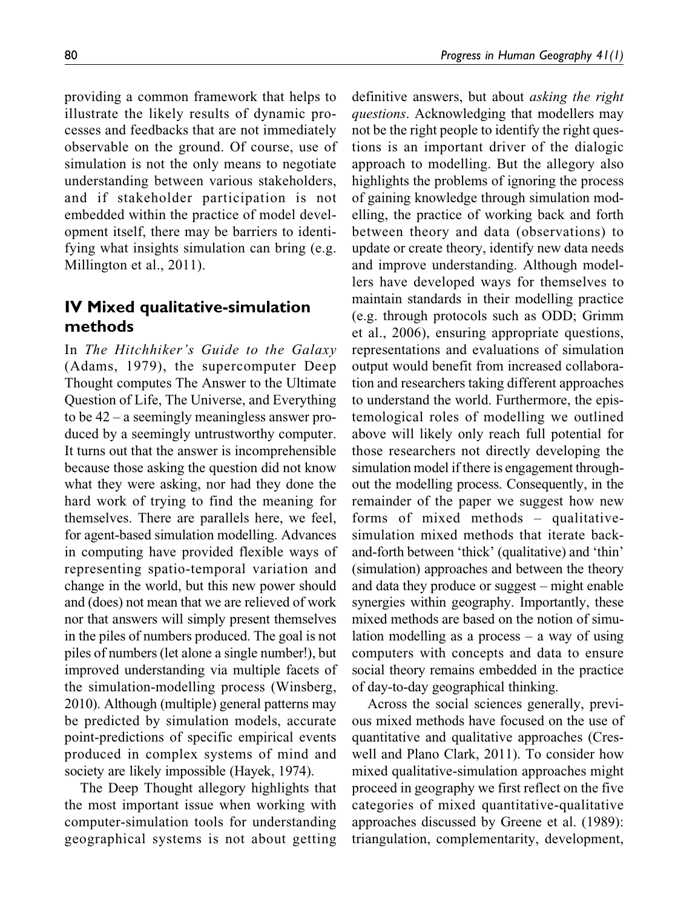providing a common framework that helps to illustrate the likely results of dynamic processes and feedbacks that are not immediately observable on the ground. Of course, use of simulation is not the only means to negotiate understanding between various stakeholders, and if stakeholder participation is not embedded within the practice of model development itself, there may be barriers to identifying what insights simulation can bring (e.g. Millington et al., 2011).

# IV Mixed qualitative-simulation methods

In The Hitchhiker's Guide to the Galaxy (Adams, 1979), the supercomputer Deep Thought computes The Answer to the Ultimate Question of Life, The Universe, and Everything to be 42 – a seemingly meaningless answer produced by a seemingly untrustworthy computer. It turns out that the answer is incomprehensible because those asking the question did not know what they were asking, nor had they done the hard work of trying to find the meaning for themselves. There are parallels here, we feel, for agent-based simulation modelling. Advances in computing have provided flexible ways of representing spatio-temporal variation and change in the world, but this new power should and (does) not mean that we are relieved of work nor that answers will simply present themselves in the piles of numbers produced. The goal is not piles of numbers (let alone a single number!), but improved understanding via multiple facets of the simulation-modelling process (Winsberg, 2010). Although (multiple) general patterns may be predicted by simulation models, accurate point-predictions of specific empirical events produced in complex systems of mind and society are likely impossible (Hayek, 1974).

The Deep Thought allegory highlights that the most important issue when working with computer-simulation tools for understanding geographical systems is not about getting definitive answers, but about asking the right questions. Acknowledging that modellers may not be the right people to identify the right questions is an important driver of the dialogic approach to modelling. But the allegory also highlights the problems of ignoring the process of gaining knowledge through simulation modelling, the practice of working back and forth between theory and data (observations) to update or create theory, identify new data needs and improve understanding. Although modellers have developed ways for themselves to maintain standards in their modelling practice (e.g. through protocols such as ODD; Grimm et al., 2006), ensuring appropriate questions, representations and evaluations of simulation output would benefit from increased collaboration and researchers taking different approaches to understand the world. Furthermore, the epistemological roles of modelling we outlined above will likely only reach full potential for those researchers not directly developing the simulation model if there is engagement throughout the modelling process. Consequently, in the remainder of the paper we suggest how new forms of mixed methods – qualitativesimulation mixed methods that iterate backand-forth between 'thick' (qualitative) and 'thin' (simulation) approaches and between the theory and data they produce or suggest – might enable synergies within geography. Importantly, these mixed methods are based on the notion of simulation modelling as a process  $-$  a way of using computers with concepts and data to ensure social theory remains embedded in the practice of day-to-day geographical thinking.

Across the social sciences generally, previous mixed methods have focused on the use of quantitative and qualitative approaches (Creswell and Plano Clark, 2011). To consider how mixed qualitative-simulation approaches might proceed in geography we first reflect on the five categories of mixed quantitative-qualitative approaches discussed by Greene et al. (1989): triangulation, complementarity, development,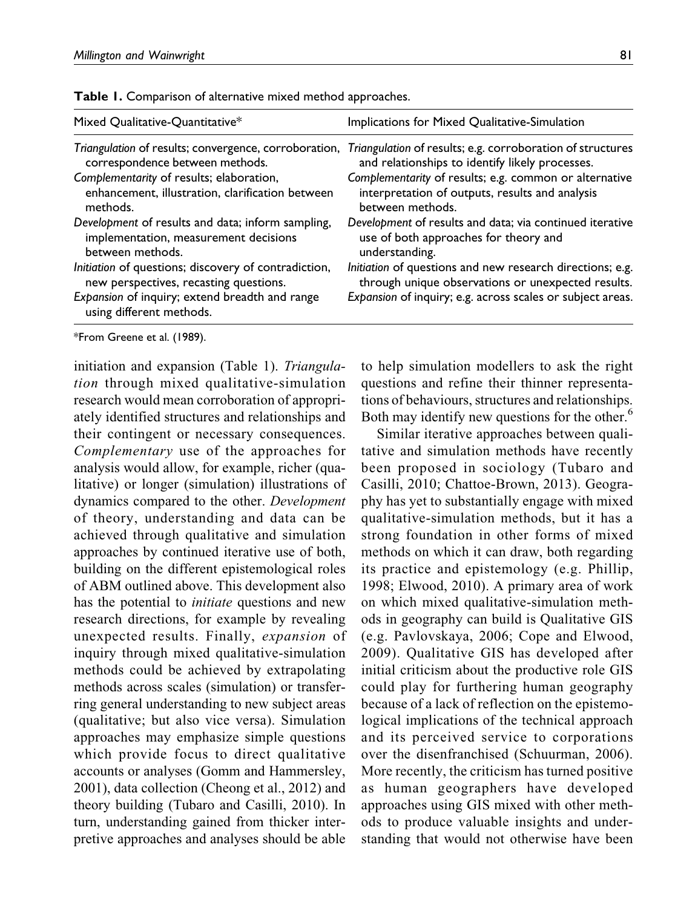| Mixed Qualitative-Quantitative*                                                                                                                                              | Implications for Mixed Qualitative-Simulation                                                                                                                                 |
|------------------------------------------------------------------------------------------------------------------------------------------------------------------------------|-------------------------------------------------------------------------------------------------------------------------------------------------------------------------------|
| Triangulation of results; convergence, corroboration,                                                                                                                        | Triangulation of results; e.g. corroboration of structures                                                                                                                    |
| correspondence between methods.                                                                                                                                              | and relationships to identify likely processes.                                                                                                                               |
| Complementarity of results; elaboration,                                                                                                                                     | Complementarity of results; e.g. common or alternative                                                                                                                        |
| enhancement, illustration, clarification between                                                                                                                             | interpretation of outputs, results and analysis                                                                                                                               |
| methods.                                                                                                                                                                     | between methods.                                                                                                                                                              |
| Development of results and data; inform sampling,                                                                                                                            | Development of results and data; via continued iterative                                                                                                                      |
| implementation, measurement decisions                                                                                                                                        | use of both approaches for theory and                                                                                                                                         |
| between methods.                                                                                                                                                             | understanding.                                                                                                                                                                |
| Initiation of questions; discovery of contradiction,<br>new perspectives, recasting questions.<br>Expansion of inquiry; extend breadth and range<br>using different methods. | Initiation of questions and new research directions; e.g.<br>through unique observations or unexpected results.<br>Expansion of inquiry; e.g. across scales or subject areas. |

Table 1. Comparison of alternative mixed method approaches.

\*From Greene et al. (1989).

initiation and expansion (Table 1). Triangulation through mixed qualitative-simulation research would mean corroboration of appropriately identified structures and relationships and their contingent or necessary consequences. Complementary use of the approaches for analysis would allow, for example, richer (qualitative) or longer (simulation) illustrations of dynamics compared to the other. Development of theory, understanding and data can be achieved through qualitative and simulation approaches by continued iterative use of both, building on the different epistemological roles of ABM outlined above. This development also has the potential to *initiate* questions and new research directions, for example by revealing unexpected results. Finally, expansion of inquiry through mixed qualitative-simulation methods could be achieved by extrapolating methods across scales (simulation) or transferring general understanding to new subject areas (qualitative; but also vice versa). Simulation approaches may emphasize simple questions which provide focus to direct qualitative accounts or analyses (Gomm and Hammersley, 2001), data collection (Cheong et al., 2012) and theory building (Tubaro and Casilli, 2010). In turn, understanding gained from thicker interpretive approaches and analyses should be able

to help simulation modellers to ask the right questions and refine their thinner representations of behaviours, structures and relationships. Both may identify new questions for the other.<sup>6</sup>

Similar iterative approaches between qualitative and simulation methods have recently been proposed in sociology (Tubaro and Casilli, 2010; Chattoe-Brown, 2013). Geography has yet to substantially engage with mixed qualitative-simulation methods, but it has a strong foundation in other forms of mixed methods on which it can draw, both regarding its practice and epistemology (e.g. Phillip, 1998; Elwood, 2010). A primary area of work on which mixed qualitative-simulation methods in geography can build is Qualitative GIS (e.g. Pavlovskaya, 2006; Cope and Elwood, 2009). Qualitative GIS has developed after initial criticism about the productive role GIS could play for furthering human geography because of a lack of reflection on the epistemological implications of the technical approach and its perceived service to corporations over the disenfranchised (Schuurman, 2006). More recently, the criticism has turned positive as human geographers have developed approaches using GIS mixed with other methods to produce valuable insights and understanding that would not otherwise have been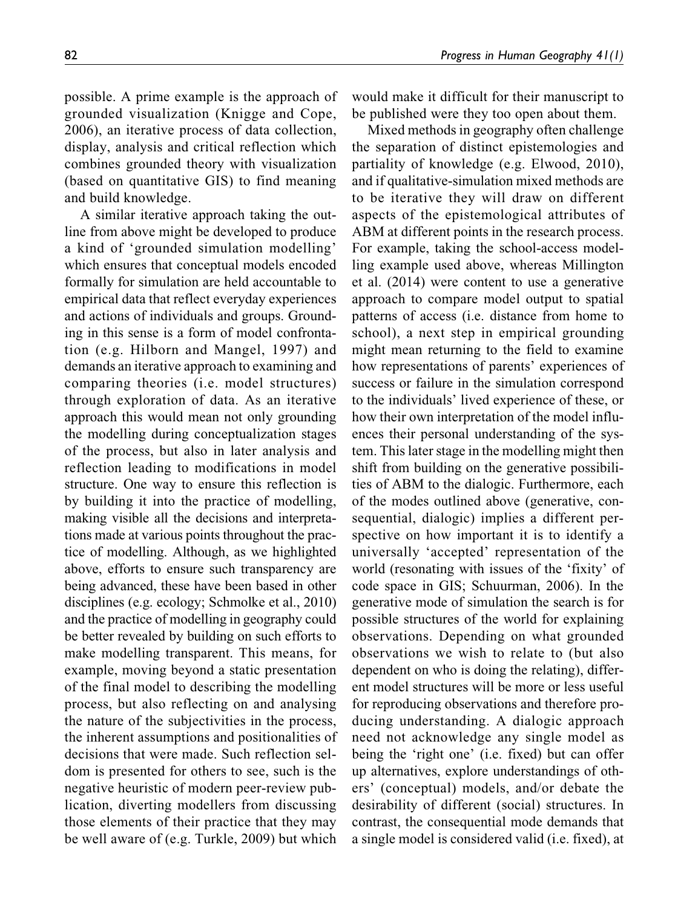possible. A prime example is the approach of grounded visualization (Knigge and Cope, 2006), an iterative process of data collection, display, analysis and critical reflection which combines grounded theory with visualization (based on quantitative GIS) to find meaning and build knowledge.

A similar iterative approach taking the outline from above might be developed to produce a kind of 'grounded simulation modelling' which ensures that conceptual models encoded formally for simulation are held accountable to empirical data that reflect everyday experiences and actions of individuals and groups. Grounding in this sense is a form of model confrontation (e.g. Hilborn and Mangel, 1997) and demands an iterative approach to examining and comparing theories (i.e. model structures) through exploration of data. As an iterative approach this would mean not only grounding the modelling during conceptualization stages of the process, but also in later analysis and reflection leading to modifications in model structure. One way to ensure this reflection is by building it into the practice of modelling, making visible all the decisions and interpretations made at various points throughout the practice of modelling. Although, as we highlighted above, efforts to ensure such transparency are being advanced, these have been based in other disciplines (e.g. ecology; Schmolke et al., 2010) and the practice of modelling in geography could be better revealed by building on such efforts to make modelling transparent. This means, for example, moving beyond a static presentation of the final model to describing the modelling process, but also reflecting on and analysing the nature of the subjectivities in the process, the inherent assumptions and positionalities of decisions that were made. Such reflection seldom is presented for others to see, such is the negative heuristic of modern peer-review publication, diverting modellers from discussing those elements of their practice that they may be well aware of (e.g. Turkle, 2009) but which

would make it difficult for their manuscript to be published were they too open about them.

Mixed methods in geography often challenge the separation of distinct epistemologies and partiality of knowledge (e.g. Elwood, 2010), and if qualitative-simulation mixed methods are to be iterative they will draw on different aspects of the epistemological attributes of ABM at different points in the research process. For example, taking the school-access modelling example used above, whereas Millington et al. (2014) were content to use a generative approach to compare model output to spatial patterns of access (i.e. distance from home to school), a next step in empirical grounding might mean returning to the field to examine how representations of parents' experiences of success or failure in the simulation correspond to the individuals' lived experience of these, or how their own interpretation of the model influences their personal understanding of the system. This later stage in the modelling might then shift from building on the generative possibilities of ABM to the dialogic. Furthermore, each of the modes outlined above (generative, consequential, dialogic) implies a different perspective on how important it is to identify a universally 'accepted' representation of the world (resonating with issues of the 'fixity' of code space in GIS; Schuurman, 2006). In the generative mode of simulation the search is for possible structures of the world for explaining observations. Depending on what grounded observations we wish to relate to (but also dependent on who is doing the relating), different model structures will be more or less useful for reproducing observations and therefore producing understanding. A dialogic approach need not acknowledge any single model as being the 'right one' (i.e. fixed) but can offer up alternatives, explore understandings of others' (conceptual) models, and/or debate the desirability of different (social) structures. In contrast, the consequential mode demands that a single model is considered valid (i.e. fixed), at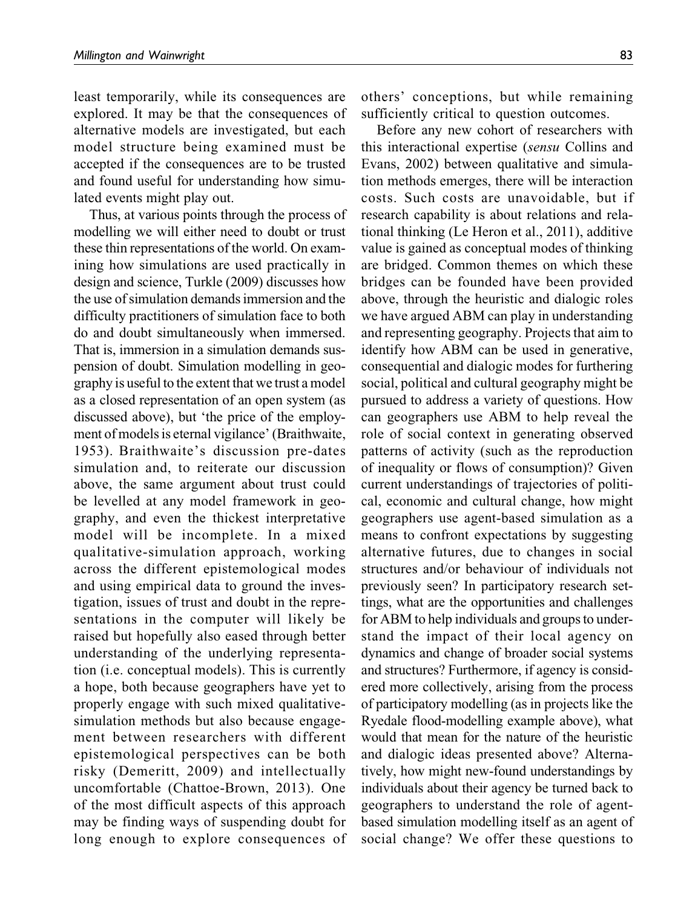least temporarily, while its consequences are explored. It may be that the consequences of alternative models are investigated, but each model structure being examined must be accepted if the consequences are to be trusted and found useful for understanding how simulated events might play out.

Thus, at various points through the process of modelling we will either need to doubt or trust these thin representations of the world. On examining how simulations are used practically in design and science, Turkle (2009) discusses how the use of simulation demands immersion and the difficulty practitioners of simulation face to both do and doubt simultaneously when immersed. That is, immersion in a simulation demands suspension of doubt. Simulation modelling in geography is useful to the extent that we trust a model as a closed representation of an open system (as discussed above), but 'the price of the employment of models is eternal vigilance' (Braithwaite, 1953). Braithwaite's discussion pre-dates simulation and, to reiterate our discussion above, the same argument about trust could be levelled at any model framework in geography, and even the thickest interpretative model will be incomplete. In a mixed qualitative-simulation approach, working across the different epistemological modes and using empirical data to ground the investigation, issues of trust and doubt in the representations in the computer will likely be raised but hopefully also eased through better understanding of the underlying representation (i.e. conceptual models). This is currently a hope, both because geographers have yet to properly engage with such mixed qualitativesimulation methods but also because engagement between researchers with different epistemological perspectives can be both risky (Demeritt, 2009) and intellectually uncomfortable (Chattoe-Brown, 2013). One of the most difficult aspects of this approach may be finding ways of suspending doubt for long enough to explore consequences of others' conceptions, but while remaining sufficiently critical to question outcomes.

Before any new cohort of researchers with this interactional expertise (sensu Collins and Evans, 2002) between qualitative and simulation methods emerges, there will be interaction costs. Such costs are unavoidable, but if research capability is about relations and relational thinking (Le Heron et al., 2011), additive value is gained as conceptual modes of thinking are bridged. Common themes on which these bridges can be founded have been provided above, through the heuristic and dialogic roles we have argued ABM can play in understanding and representing geography. Projects that aim to identify how ABM can be used in generative, consequential and dialogic modes for furthering social, political and cultural geography might be pursued to address a variety of questions. How can geographers use ABM to help reveal the role of social context in generating observed patterns of activity (such as the reproduction of inequality or flows of consumption)? Given current understandings of trajectories of political, economic and cultural change, how might geographers use agent-based simulation as a means to confront expectations by suggesting alternative futures, due to changes in social structures and/or behaviour of individuals not previously seen? In participatory research settings, what are the opportunities and challenges for ABM to help individuals and groups to understand the impact of their local agency on dynamics and change of broader social systems and structures? Furthermore, if agency is considered more collectively, arising from the process of participatory modelling (as in projects like the Ryedale flood-modelling example above), what would that mean for the nature of the heuristic and dialogic ideas presented above? Alternatively, how might new-found understandings by individuals about their agency be turned back to geographers to understand the role of agentbased simulation modelling itself as an agent of social change? We offer these questions to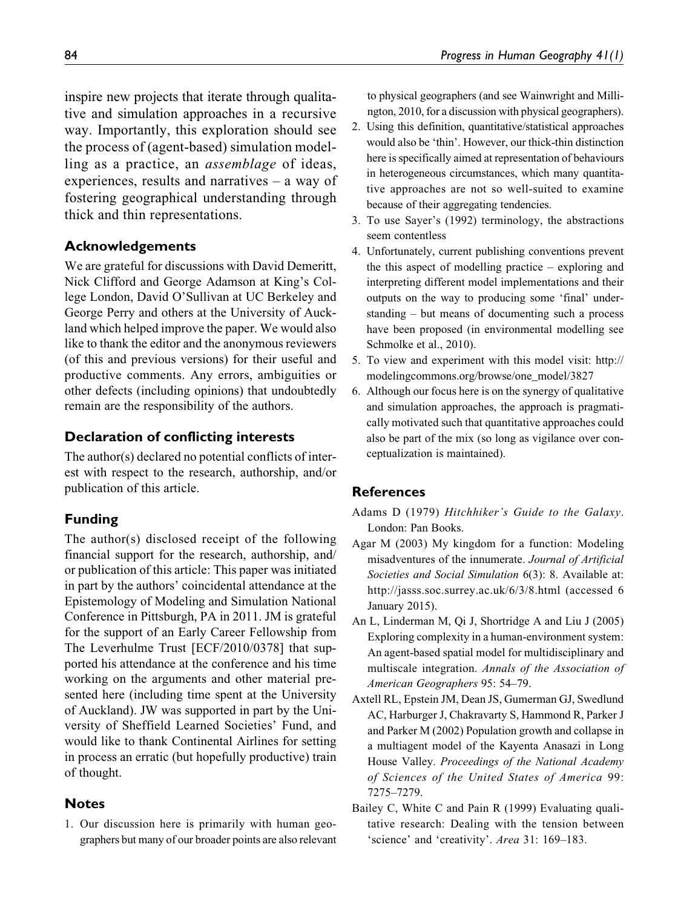inspire new projects that iterate through qualitative and simulation approaches in a recursive way. Importantly, this exploration should see the process of (agent-based) simulation modelling as a practice, an assemblage of ideas, experiences, results and narratives – a way of fostering geographical understanding through thick and thin representations.

#### Acknowledgements

We are grateful for discussions with David Demeritt, Nick Clifford and George Adamson at King's College London, David O'Sullivan at UC Berkeley and George Perry and others at the University of Auckland which helped improve the paper. We would also like to thank the editor and the anonymous reviewers (of this and previous versions) for their useful and productive comments. Any errors, ambiguities or other defects (including opinions) that undoubtedly remain are the responsibility of the authors.

#### Declaration of conflicting interests

The author(s) declared no potential conflicts of interest with respect to the research, authorship, and/or publication of this article.

#### Funding

The author(s) disclosed receipt of the following financial support for the research, authorship, and/ or publication of this article: This paper was initiated in part by the authors' coincidental attendance at the Epistemology of Modeling and Simulation National Conference in Pittsburgh, PA in 2011. JM is grateful for the support of an Early Career Fellowship from The Leverhulme Trust [ECF/2010/0378] that supported his attendance at the conference and his time working on the arguments and other material presented here (including time spent at the University of Auckland). JW was supported in part by the University of Sheffield Learned Societies' Fund, and would like to thank Continental Airlines for setting in process an erratic (but hopefully productive) train of thought.

#### **Notes**

1. Our discussion here is primarily with human geographers but many of our broader points are also relevant to physical geographers (and see Wainwright and Millington, 2010, for a discussion with physical geographers).

- 2. Using this definition, quantitative/statistical approaches would also be 'thin'. However, our thick-thin distinction here is specifically aimed at representation of behaviours in heterogeneous circumstances, which many quantitative approaches are not so well-suited to examine because of their aggregating tendencies.
- 3. To use Sayer's (1992) terminology, the abstractions seem contentless
- 4. Unfortunately, current publishing conventions prevent the this aspect of modelling practice – exploring and interpreting different model implementations and their outputs on the way to producing some 'final' understanding – but means of documenting such a process have been proposed (in environmental modelling see Schmolke et al., 2010).
- 5. To view and experiment with this model visit: [http://](http://modelingcommons.org/browse/one_model/3827) [modelingcommons.org/browse/one\\_model/3827](http://modelingcommons.org/browse/one_model/3827)
- 6. Although our focus here is on the synergy of qualitative and simulation approaches, the approach is pragmatically motivated such that quantitative approaches could also be part of the mix (so long as vigilance over conceptualization is maintained).

#### **References**

- Adams D (1979) Hitchhiker's Guide to the Galaxy. London: Pan Books.
- Agar M (2003) My kingdom for a function: Modeling misadventures of the innumerate. Journal of Artificial Societies and Social Simulation 6(3): 8. Available at: <http://jasss.soc.surrey.ac.uk/6/3/8.html> (accessed 6 January 2015).
- An L, Linderman M, Qi J, Shortridge A and Liu J (2005) Exploring complexity in a human-environment system: An agent-based spatial model for multidisciplinary and multiscale integration. Annals of the Association of American Geographers 95: 54–79.
- Axtell RL, Epstein JM, Dean JS, Gumerman GJ, Swedlund AC, Harburger J, Chakravarty S, Hammond R, Parker J and Parker M (2002) Population growth and collapse in a multiagent model of the Kayenta Anasazi in Long House Valley. Proceedings of the National Academy of Sciences of the United States of America 99: 7275–7279.
- Bailey C, White C and Pain R (1999) Evaluating qualitative research: Dealing with the tension between 'science' and 'creativity'. Area 31: 169–183.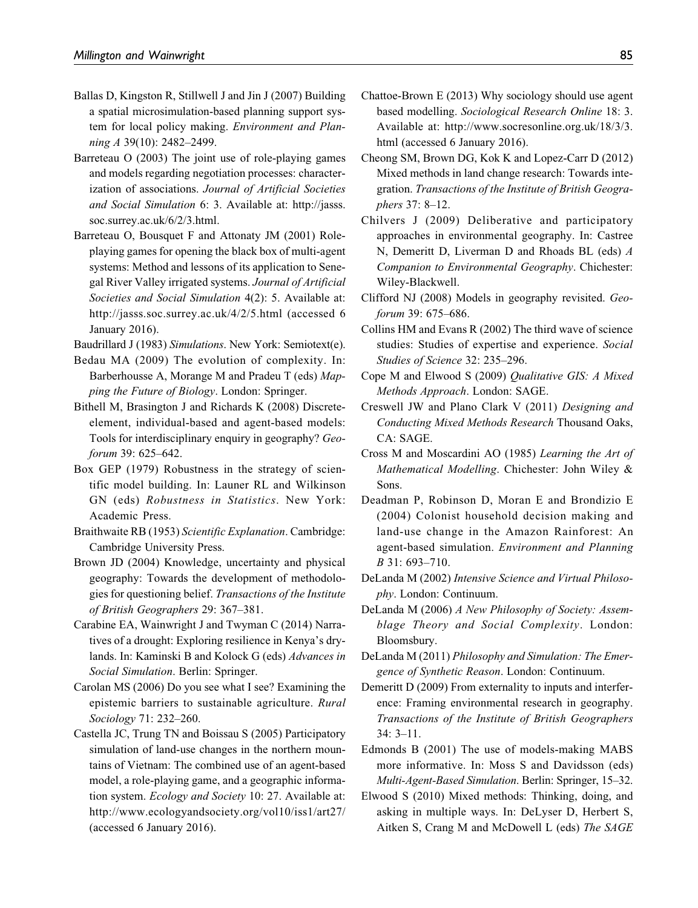- Ballas D, Kingston R, Stillwell J and Jin J (2007) Building a spatial microsimulation-based planning support system for local policy making. Environment and Planning A 39(10): 2482-2499.
- Barreteau O (2003) The joint use of role-playing games and models regarding negotiation processes: characterization of associations. Journal of Artificial Societies and Social Simulation 6: 3. Available at: [http://jasss.](http://jasss.soc.surrey.ac.uk/6/2/3.html) [soc.surrey.ac.uk/6/2/3.html.](http://jasss.soc.surrey.ac.uk/6/2/3.html)
- Barreteau O, Bousquet F and Attonaty JM (2001) Roleplaying games for opening the black box of multi-agent systems: Method and lessons of its application to Senegal River Valley irrigated systems. Journal of Artificial Societies and Social Simulation 4(2): 5. Available at: <http://jasss.soc.surrey.ac.uk/4/2/5.html> (accessed 6 January 2016).

Baudrillard J (1983) Simulations. New York: Semiotext(e).

- Bedau MA (2009) The evolution of complexity. In: Barberhousse A, Morange M and Pradeu T (eds) Mapping the Future of Biology. London: Springer.
- Bithell M, Brasington J and Richards K (2008) Discreteelement, individual-based and agent-based models: Tools for interdisciplinary enquiry in geography? Geoforum 39: 625–642.
- Box GEP (1979) Robustness in the strategy of scientific model building. In: Launer RL and Wilkinson GN (eds) Robustness in Statistics. New York: Academic Press.
- Braithwaite RB (1953) Scientific Explanation. Cambridge: Cambridge University Press.
- Brown JD (2004) Knowledge, uncertainty and physical geography: Towards the development of methodologies for questioning belief. Transactions of the Institute of British Geographers 29: 367–381.
- Carabine EA, Wainwright J and Twyman C (2014) Narratives of a drought: Exploring resilience in Kenya's drylands. In: Kaminski B and Kolock G (eds) Advances in Social Simulation. Berlin: Springer.
- Carolan MS (2006) Do you see what I see? Examining the epistemic barriers to sustainable agriculture. Rural Sociology 71: 232–260.
- Castella JC, Trung TN and Boissau S (2005) Participatory simulation of land-use changes in the northern mountains of Vietnam: The combined use of an agent-based model, a role-playing game, and a geographic information system. Ecology and Society 10: 27. Available at: <http://www.ecologyandsociety.org/vol10/iss1/art27/> (accessed 6 January 2016).
- Chattoe-Brown E (2013) Why sociology should use agent based modelling. Sociological Research Online 18: 3. Available at: [http://www.socresonline.org.uk/18/3/3.](http://www.socresonline.org.uk/18/3/3.html) [html](http://www.socresonline.org.uk/18/3/3.html) (accessed 6 January 2016).
- Cheong SM, Brown DG, Kok K and Lopez-Carr D (2012) Mixed methods in land change research: Towards integration. Transactions of the Institute of British Geographers 37: 8–12.
- Chilvers J (2009) Deliberative and participatory approaches in environmental geography. In: Castree N, Demeritt D, Liverman D and Rhoads BL (eds) A Companion to Environmental Geography. Chichester: Wiley-Blackwell.
- Clifford NJ (2008) Models in geography revisited. Geoforum 39: 675–686.
- Collins HM and Evans R (2002) The third wave of science studies: Studies of expertise and experience. Social Studies of Science 32: 235–296.
- Cope M and Elwood S (2009) Qualitative GIS: A Mixed Methods Approach. London: SAGE.
- Creswell JW and Plano Clark V (2011) Designing and Conducting Mixed Methods Research Thousand Oaks, CA: SAGE.
- Cross M and Moscardini AO (1985) Learning the Art of Mathematical Modelling. Chichester: John Wiley & Sons.
- Deadman P, Robinson D, Moran E and Brondizio E (2004) Colonist household decision making and land-use change in the Amazon Rainforest: An agent-based simulation. Environment and Planning B 31: 693–710.
- DeLanda M (2002) Intensive Science and Virtual Philosophy. London: Continuum.
- DeLanda M (2006) A New Philosophy of Society: Assemblage Theory and Social Complexity. London: Bloomsbury.
- DeLanda M (2011) Philosophy and Simulation: The Emergence of Synthetic Reason. London: Continuum.
- Demeritt D (2009) From externality to inputs and interference: Framing environmental research in geography. Transactions of the Institute of British Geographers 34: 3–11.
- Edmonds B (2001) The use of models-making MABS more informative. In: Moss S and Davidsson (eds) Multi-Agent-Based Simulation. Berlin: Springer, 15–32.
- Elwood S (2010) Mixed methods: Thinking, doing, and asking in multiple ways. In: DeLyser D, Herbert S, Aitken S, Crang M and McDowell L (eds) The SAGE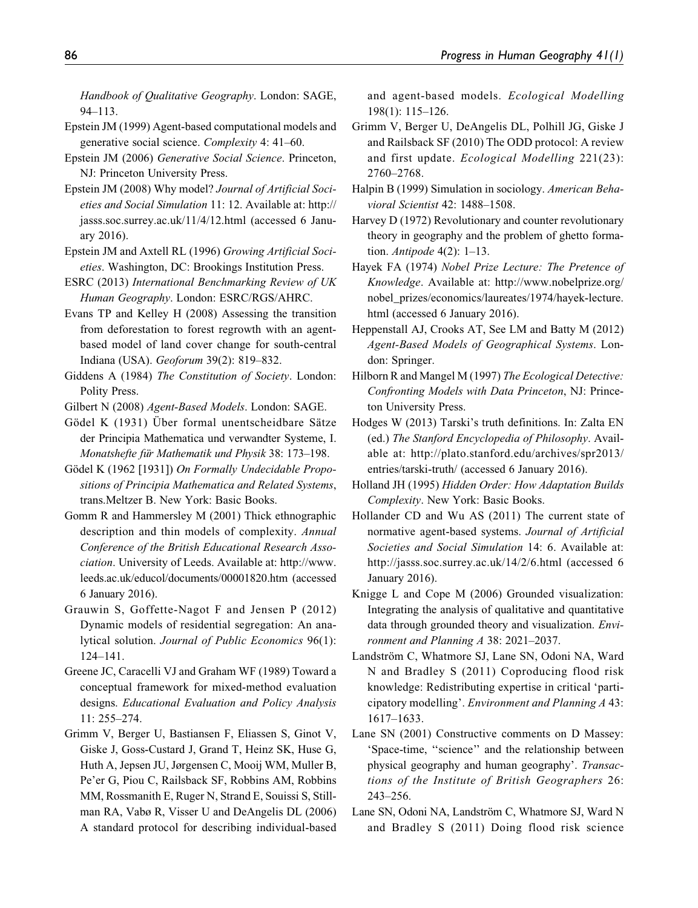Handbook of Qualitative Geography. London: SAGE, 94–113.

- Epstein JM (1999) Agent-based computational models and generative social science. Complexity 4: 41–60.
- Epstein JM (2006) Generative Social Science. Princeton, NJ: Princeton University Press.
- Epstein JM (2008) Why model? Journal of Artificial Societies and Social Simulation 11: 12. Available at: [http://](http://jasss.soc.surrey.ac.uk/11/4/12.html) [jasss.soc.surrey.ac.uk/11/4/12.html](http://jasss.soc.surrey.ac.uk/11/4/12.html) (accessed 6 January 2016).
- Epstein JM and Axtell RL (1996) Growing Artificial Societies. Washington, DC: Brookings Institution Press.
- ESRC (2013) International Benchmarking Review of UK Human Geography. London: ESRC/RGS/AHRC.
- Evans TP and Kelley H (2008) Assessing the transition from deforestation to forest regrowth with an agentbased model of land cover change for south-central Indiana (USA). Geoforum 39(2): 819–832.
- Giddens A (1984) The Constitution of Society. London: Polity Press.
- Gilbert N (2008) Agent-Based Models. London: SAGE.
- Gödel K (1931) Über formal unentscheidbare Sätze der Principia Mathematica und verwandter Systeme, I. Monatshefte für Mathematik und Physik 38: 173–198.
- Gödel K (1962 [1931]) On Formally Undecidable Propositions of Principia Mathematica and Related Systems, trans.Meltzer B. New York: Basic Books.
- Gomm R and Hammersley M (2001) Thick ethnographic description and thin models of complexity. Annual Conference of the British Educational Research Association. University of Leeds. Available at: [http://www.](http://www.leeds.ac.uk/educol/documents/00001820.htm) [leeds.ac.uk/educol/documents/00001820.htm](http://www.leeds.ac.uk/educol/documents/00001820.htm) (accessed 6 January 2016).
- Grauwin S, Goffette-Nagot F and Jensen P (2012) Dynamic models of residential segregation: An analytical solution. Journal of Public Economics 96(1): 124–141.
- Greene JC, Caracelli VJ and Graham WF (1989) Toward a conceptual framework for mixed-method evaluation designs. Educational Evaluation and Policy Analysis 11: 255–274.
- Grimm V, Berger U, Bastiansen F, Eliassen S, Ginot V, Giske J, Goss-Custard J, Grand T, Heinz SK, Huse G, Huth A, Jepsen JU, Jørgensen C, Mooij WM, Muller B, Pe'er G, Piou C, Railsback SF, Robbins AM, Robbins MM, Rossmanith E, Ruger N, Strand E, Souissi S, Stillman RA, Vabø R, Visser U and DeAngelis DL (2006) A standard protocol for describing individual-based

and agent-based models. Ecological Modelling 198(1): 115–126.

- Grimm V, Berger U, DeAngelis DL, Polhill JG, Giske J and Railsback SF (2010) The ODD protocol: A review and first update. Ecological Modelling 221(23): 2760–2768.
- Halpin B (1999) Simulation in sociology. American Behavioral Scientist 42: 1488–1508.
- Harvey D (1972) Revolutionary and counter revolutionary theory in geography and the problem of ghetto formation. Antipode 4(2): 1–13.
- Hayek FA (1974) Nobel Prize Lecture: The Pretence of Knowledge. Available at: [http://www.nobelprize.org/](http://www.nobelprize.org/nobel_prizes/economics/laureates/1974/hayek-lecture.html) [nobel\\_prizes/economics/laureates/1974/hayek-lecture.](http://www.nobelprize.org/nobel_prizes/economics/laureates/1974/hayek-lecture.html) [html](http://www.nobelprize.org/nobel_prizes/economics/laureates/1974/hayek-lecture.html) (accessed 6 January 2016).
- Heppenstall AJ, Crooks AT, See LM and Batty M (2012) Agent-Based Models of Geographical Systems. London: Springer.
- Hilborn R and Mangel M (1997) The Ecological Detective: Confronting Models with Data Princeton, NJ: Princeton University Press.
- Hodges W (2013) Tarski's truth definitions. In: Zalta EN (ed.) The Stanford Encyclopedia of Philosophy. Available at: [http://plato.stanford.edu/archives/spr2013/](http://plato.stanford.edu/archives/spr2013/entries/tarski-truth/) [entries/tarski-truth/](http://plato.stanford.edu/archives/spr2013/entries/tarski-truth/) (accessed 6 January 2016).
- Holland JH (1995) Hidden Order: How Adaptation Builds Complexity. New York: Basic Books.
- Hollander CD and Wu AS (2011) The current state of normative agent-based systems. Journal of Artificial Societies and Social Simulation 14: 6. Available at: <http://jasss.soc.surrey.ac.uk/14/2/6.html> (accessed 6 January 2016).
- Knigge L and Cope M (2006) Grounded visualization: Integrating the analysis of qualitative and quantitative data through grounded theory and visualization. Environment and Planning A 38: 2021–2037.
- Landström C, Whatmore SJ, Lane SN, Odoni NA, Ward N and Bradley S (2011) Coproducing flood risk knowledge: Redistributing expertise in critical 'participatory modelling'. Environment and Planning A 43: 1617–1633.
- Lane SN (2001) Constructive comments on D Massey: 'Space-time, ''science'' and the relationship between physical geography and human geography'. Transactions of the Institute of British Geographers 26: 243–256.
- Lane SN, Odoni NA, Landström C, Whatmore SJ, Ward N and Bradley S (2011) Doing flood risk science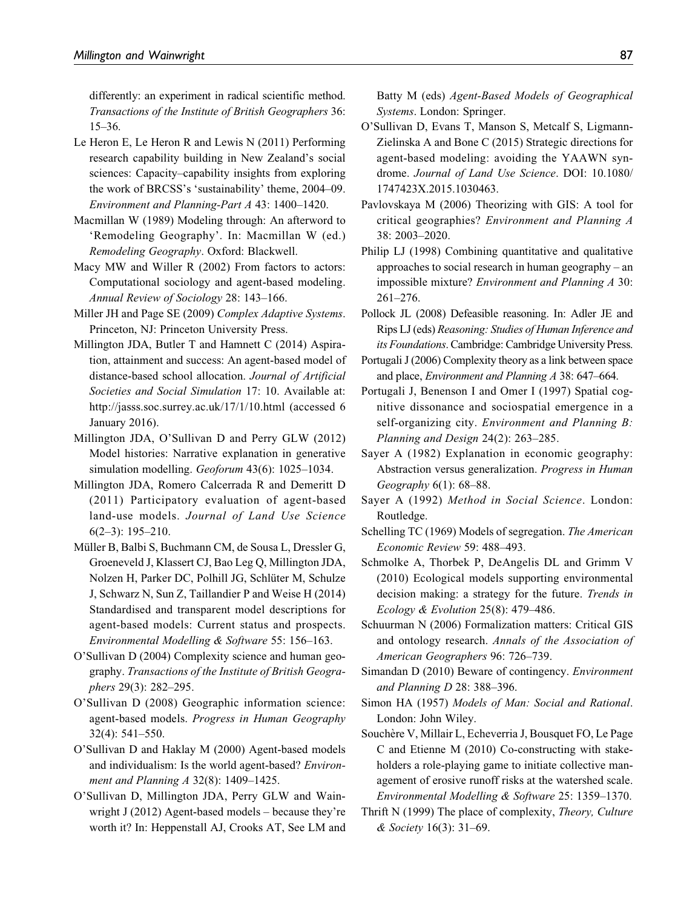differently: an experiment in radical scientific method. Transactions of the Institute of British Geographers 36: 15–36.

- Le Heron E, Le Heron R and Lewis N (2011) Performing research capability building in New Zealand's social sciences: Capacity–capability insights from exploring the work of BRCSS's 'sustainability' theme, 2004–09. Environment and Planning-Part A 43: 1400–1420.
- Macmillan W (1989) Modeling through: An afterword to 'Remodeling Geography'. In: Macmillan W (ed.) Remodeling Geography. Oxford: Blackwell.
- Macy MW and Willer R (2002) From factors to actors: Computational sociology and agent-based modeling. Annual Review of Sociology 28: 143–166.
- Miller JH and Page SE (2009) Complex Adaptive Systems. Princeton, NJ: Princeton University Press.
- Millington JDA, Butler T and Hamnett C (2014) Aspiration, attainment and success: An agent-based model of distance-based school allocation. Journal of Artificial Societies and Social Simulation 17: 10. Available at: <http://jasss.soc.surrey.ac.uk/17/1/10.html> (accessed 6 January 2016).
- Millington JDA, O'Sullivan D and Perry GLW (2012) Model histories: Narrative explanation in generative simulation modelling. Geoforum 43(6): 1025–1034.
- Millington JDA, Romero Calcerrada R and Demeritt D (2011) Participatory evaluation of agent-based land-use models. Journal of Land Use Science 6(2–3): 195–210.
- Müller B, Balbi S, Buchmann CM, de Sousa L, Dressler G, Groeneveld J, Klassert CJ, Bao Leg Q, Millington JDA, Nolzen H, Parker DC, Polhill JG, Schlüter M, Schulze J, Schwarz N, Sun Z, Taillandier P and Weise H (2014) Standardised and transparent model descriptions for agent-based models: Current status and prospects. Environmental Modelling & Software 55: 156–163.
- O'Sullivan D (2004) Complexity science and human geography. Transactions of the Institute of British Geographers 29(3): 282–295.
- O'Sullivan D (2008) Geographic information science: agent-based models. Progress in Human Geography 32(4): 541–550.
- O'Sullivan D and Haklay M (2000) Agent-based models and individualism: Is the world agent-based? Environment and Planning A 32(8): 1409–1425.
- O'Sullivan D, Millington JDA, Perry GLW and Wainwright J (2012) Agent-based models – because they're worth it? In: Heppenstall AJ, Crooks AT, See LM and

Batty M (eds) Agent-Based Models of Geographical Systems. London: Springer.

- O'Sullivan D, Evans T, Manson S, Metcalf S, Ligmann-Zielinska A and Bone C (2015) Strategic directions for agent-based modeling: avoiding the YAAWN syndrome. Journal of Land Use Science. DOI: 10.1080/ 1747423X.2015.1030463.
- Pavlovskaya M (2006) Theorizing with GIS: A tool for critical geographies? Environment and Planning A 38: 2003–2020.
- Philip LJ (1998) Combining quantitative and qualitative approaches to social research in human geography – an impossible mixture? Environment and Planning A 30: 261–276.
- Pollock JL (2008) Defeasible reasoning. In: Adler JE and Rips LJ (eds) Reasoning: Studies of Human Inference and its Foundations. Cambridge: Cambridge University Press.
- Portugali J (2006) Complexity theory as a link between space and place, Environment and Planning A 38: 647–664.
- Portugali J, Benenson I and Omer I (1997) Spatial cognitive dissonance and sociospatial emergence in a self-organizing city. Environment and Planning B: Planning and Design 24(2): 263–285.
- Sayer A (1982) Explanation in economic geography: Abstraction versus generalization. Progress in Human Geography 6(1): 68–88.
- Sayer A (1992) Method in Social Science. London: Routledge.
- Schelling TC (1969) Models of segregation. The American Economic Review 59: 488–493.
- Schmolke A, Thorbek P, DeAngelis DL and Grimm V (2010) Ecological models supporting environmental decision making: a strategy for the future. Trends in Ecology & Evolution 25(8): 479–486.
- Schuurman N (2006) Formalization matters: Critical GIS and ontology research. Annals of the Association of American Geographers 96: 726–739.
- Simandan D (2010) Beware of contingency. Environment and Planning D 28: 388–396.
- Simon HA (1957) Models of Man: Social and Rational. London: John Wiley.
- Souchère V, Millair L, Echeverria J, Bousquet FO, Le Page C and Etienne M (2010) Co-constructing with stakeholders a role-playing game to initiate collective management of erosive runoff risks at the watershed scale. Environmental Modelling & Software 25: 1359–1370.
- Thrift N (1999) The place of complexity, Theory, Culture & Society 16(3): 31–69.